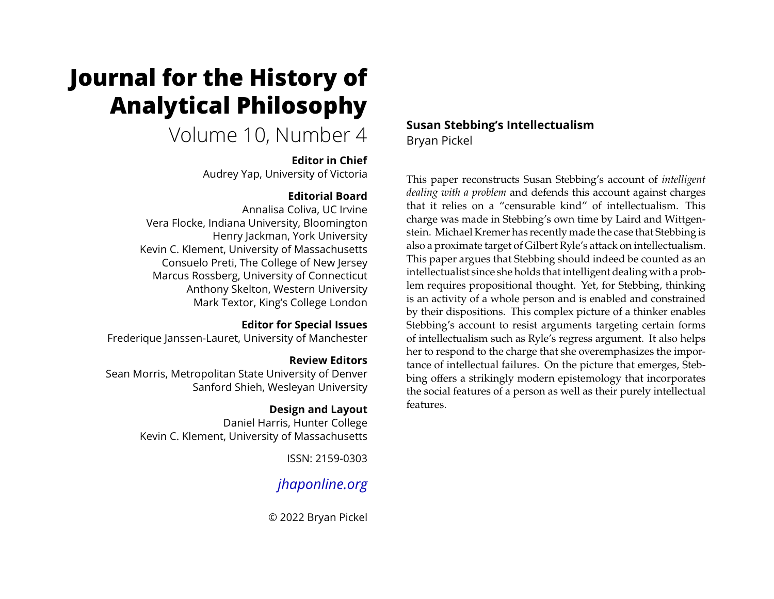# **Journal for the History of Analytical Philosophy**

## Volume 10, Number 4

## **Editor in Chief**

Audrey Yap, University of Victoria

## **Editorial Board**

Annalisa Coliva, UC Irvine Vera Flocke, Indiana University, Bloomington Henry Jackman, York University Kevin C. Klement, University of Massachusetts Consuelo Preti, The College of New Jersey Marcus Rossberg, University of Connecticut Anthony Skelton, Western University Mark Textor, King's College London

## **Editor for Special Issues**

Frederique Janssen-Lauret, University of Manchester

## **Review Editors**

Sean Morris, Metropolitan State University of Denver Sanford Shieh, Wesleyan University

## **Design and Layout**

Daniel Harris, Hunter College Kevin C. Klement, University of Massachusetts

ISSN: 2159-0303

## *[jhaponline.org](https://jhaponline.org)*

© 2022 Bryan Pickel

**Susan Stebbing's Intellectualism** Bryan Pickel

This paper reconstructs Susan Stebbing's account of *intelligent dealing with a problem* and defends this account against charges that it relies on a "censurable kind" of intellectualism. This charge was made in Stebbing's own time by Laird and Wittgenstein. Michael Kremer has recently made the case that Stebbing is also a proximate target of Gilbert Ryle's attack on intellectualism. This paper argues that Stebbing should indeed be counted as an intellectualist since she holds that intelligent dealing with a problem requires propositional thought. Yet, for Stebbing, thinking is an activity of a whole person and is enabled and constrained by their dispositions. This complex picture of a thinker enables Stebbing's account to resist arguments targeting certain forms of intellectualism such as Ryle's regress argument. It also helps her to respond to the charge that she overemphasizes the importance of intellectual failures. On the picture that emerges, Stebbing offers a strikingly modern epistemology that incorporates the social features of a person as well as their purely intellectual features.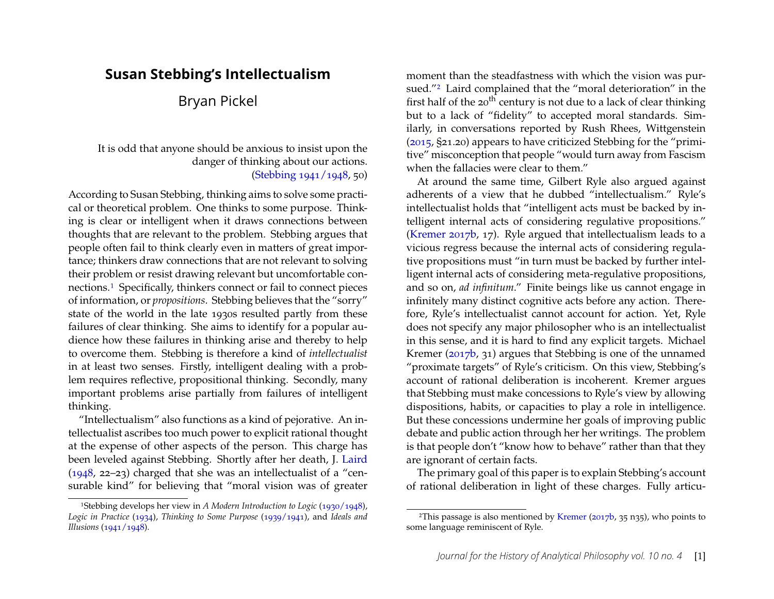## **Susan Stebbing's Intellectualism**

## Bryan Pickel

#### It is odd that anyone should be anxious to insist upon the danger of thinking about our actions. [\(Stebbing](#page-24-0) [1941/1948,](#page-24-0) 50)

According to Susan Stebbing, thinking aims to solve some practical or theoretical problem. One thinks to some purpose. Thinking is clear or intelligent when it draws connections between thoughts that are relevant to the problem. Stebbing argues that people often fail to think clearly even in matters of great importance; thinkers draw connections that are not relevant to solving their problem or resist drawing relevant but uncomfortable connections.[1](#page-1-0) Specifically, thinkers connect or fail to connect pieces of information, or *propositions*. Stebbing believes that the "sorry" state of the world in the late 1930s resulted partly from these failures of clear thinking. She aims to identify for a popular audience how these failures in thinking arise and thereby to help to overcome them. Stebbing is therefore a kind of *intellectualist* in at least two senses. Firstly, intelligent dealing with a problem requires reflective, propositional thinking. Secondly, many important problems arise partially from failures of intelligent thinking.

"Intellectualism" also functions as a kind of pejorative. An intellectualist ascribes too much power to explicit rational thought at the expense of other aspects of the person. This charge has been leveled against Stebbing. Shortly after her death, J. [Laird](#page-23-0) [\(1948,](#page-23-0) 22–23) charged that she was an intellectualist of a "censurable kind" for believing that "moral vision was of greater moment than the steadfastness with which the vision was pursued."[2](#page-1-1) Laird complained that the "moral deterioration" in the first half of the  $20^{th}$  century is not due to a lack of clear thinking but to a lack of "fidelity" to accepted moral standards. Similarly, in conversations reported by Rush Rhees, Wittgenstein [\(2015,](#page-24-4) §21.20) appears to have criticized Stebbing for the "primitive" misconception that people "would turn away from Fascism when the fallacies were clear to them."

At around the same time, Gilbert Ryle also argued against adherents of a view that he dubbed "intellectualism." Ryle's intellectualist holds that "intelligent acts must be backed by intelligent internal acts of considering regulative propositions." [\(Kremer](#page-23-1) [2017b,](#page-23-1) 17). Ryle argued that intellectualism leads to a vicious regress because the internal acts of considering regulative propositions must "in turn must be backed by further intelligent internal acts of considering meta-regulative propositions, and so on, *ad infinitum*." Finite beings like us cannot engage in infinitely many distinct cognitive acts before any action. Therefore, Ryle's intellectualist cannot account for action. Yet, Ryle does not specify any major philosopher who is an intellectualist in this sense, and it is hard to find any explicit targets. Michael Kremer [\(2017b,](#page-23-1) 31) argues that Stebbing is one of the unnamed "proximate targets" of Ryle's criticism. On this view, Stebbing's account of rational deliberation is incoherent. Kremer argues that Stebbing must make concessions to Ryle's view by allowing dispositions, habits, or capacities to play a role in intelligence. But these concessions undermine her goals of improving public debate and public action through her her writings. The problem is that people don't "know how to behave" rather than that they are ignorant of certain facts.

The primary goal of this paper is to explain Stebbing's account of rational deliberation in light of these charges. Fully articu-

<span id="page-1-0"></span><sup>1</sup>Stebbing develops her view in *A Modern Introduction to Logic* [\(1930/1948\)](#page-24-1), *Logic in Practice* [\(1934\)](#page-24-2), *Thinking to Some Purpose* [\(1939/1941\)](#page-24-3), and *Ideals and Illusions* [\(1941/1948\)](#page-24-0).

<span id="page-1-1"></span><sup>&</sup>lt;sup>2</sup>This passage is also mentioned by [Kremer](#page-23-1) [\(2017b,](#page-23-1) 35 n35), who points to some language reminiscent of Ryle.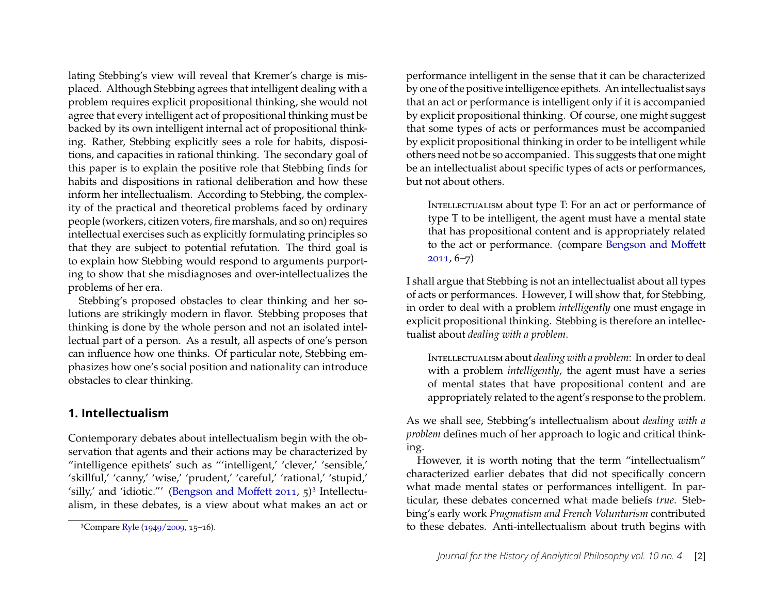lating Stebbing's view will reveal that Kremer's charge is misplaced. Although Stebbing agrees that intelligent dealing with a problem requires explicit propositional thinking, she would not agree that every intelligent act of propositional thinking must be backed by its own intelligent internal act of propositional thinking. Rather, Stebbing explicitly sees a role for habits, dispositions, and capacities in rational thinking. The secondary goal of this paper is to explain the positive role that Stebbing finds for habits and dispositions in rational deliberation and how these inform her intellectualism. According to Stebbing, the complexity of the practical and theoretical problems faced by ordinary people (workers, citizen voters, fire marshals, and so on) requires intellectual exercises such as explicitly formulating principles so that they are subject to potential refutation. The third goal is to explain how Stebbing would respond to arguments purporting to show that she misdiagnoses and over-intellectualizes the problems of her era.

Stebbing's proposed obstacles to clear thinking and her solutions are strikingly modern in flavor. Stebbing proposes that thinking is done by the whole person and not an isolated intellectual part of a person. As a result, all aspects of one's person can influence how one thinks. Of particular note, Stebbing emphasizes how one's social position and nationality can introduce obstacles to clear thinking.

## **1. Intellectualism**

Contemporary debates about intellectualism begin with the observation that agents and their actions may be characterized by "intelligence epithets' such as "'intelligent,' 'clever,' 'sensible,' 'skillful,' 'canny,' 'wise,' 'prudent,' 'careful,' 'rational,' 'stupid,' 'silly,' and 'idiotic."' [\(Bengson and Moffett](#page-22-0) [2011,](#page-22-0) 5)[3](#page-2-0) Intellectualism, in these debates, is a view about what makes an act or performance intelligent in the sense that it can be characterized by one of the positive intelligence epithets. An intellectualist says that an act or performance is intelligent only if it is accompanied by explicit propositional thinking. Of course, one might suggest that some types of acts or performances must be accompanied by explicit propositional thinking in order to be intelligent while others need not be so accompanied. This suggests that one might be an intellectualist about specific types of acts or performances, but not about others.

INTELLECTUALISM about type T: For an act or performance of type T to be intelligent, the agent must have a mental state that has propositional content and is appropriately related to the act or performance. (compare [Bengson and Moffett](#page-22-0) [2011,](#page-22-0) 6–7)

I shall argue that Stebbing is not an intellectualist about all types of acts or performances. However, I will show that, for Stebbing, in order to deal with a problem *intelligently* one must engage in explicit propositional thinking. Stebbing is therefore an intellectualist about *dealing with a problem*.

Intellectualism about *dealing with a problem*: In order to deal with a problem *intelligently*, the agent must have a series of mental states that have propositional content and are appropriately related to the agent's response to the problem.

As we shall see, Stebbing's intellectualism about *dealing with a problem* defines much of her approach to logic and critical thinking.

However, it is worth noting that the term "intellectualism" characterized earlier debates that did not specifically concern what made mental states or performances intelligent. In particular, these debates concerned what made beliefs *true*. Stebbing's early work *Pragmatism and French Voluntarism* contributed to these debates. Anti-intellectualism about truth begins with

<span id="page-2-0"></span><sup>3</sup>Compare [Ryle](#page-23-2) [\(1949/2009,](#page-23-2) 15–16).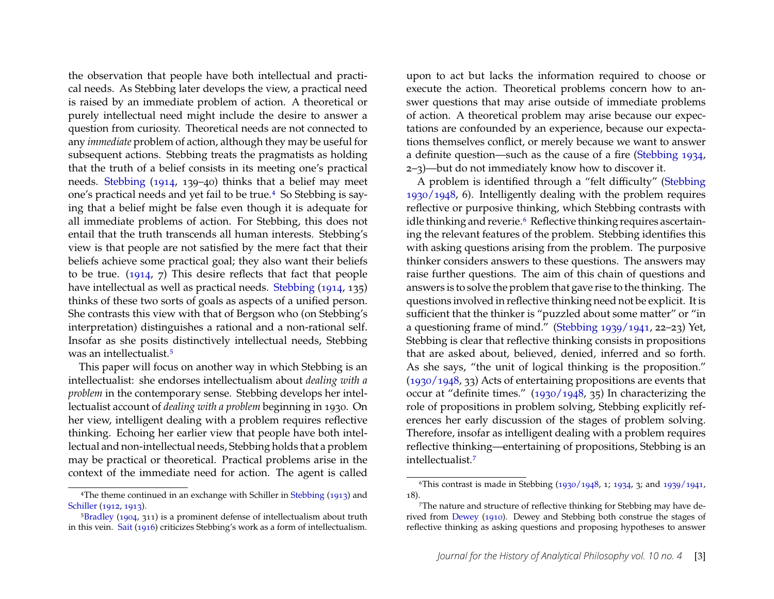the observation that people have both intellectual and practical needs. As Stebbing later develops the view, a practical need is raised by an immediate problem of action. A theoretical or purely intellectual need might include the desire to answer a question from curiosity. Theoretical needs are not connected to any *immediate* problem of action, although they may be useful for subsequent actions. Stebbing treats the pragmatists as holding that the truth of a belief consists in its meeting one's practical needs. [Stebbing](#page-24-5) [\(1914,](#page-24-5) 139–40) thinks that a belief may meet one's practical needs and yet fail to be true.[4](#page-3-0) So Stebbing is saying that a belief might be false even though it is adequate for all immediate problems of action. For Stebbing, this does not entail that the truth transcends all human interests. Stebbing's view is that people are not satisfied by the mere fact that their beliefs achieve some practical goal; they also want their beliefs to be true. [\(1914,](#page-24-5) 7) This desire reflects that fact that people have intellectual as well as practical needs. [Stebbing](#page-24-5) [\(1914,](#page-24-5) 135) thinks of these two sorts of goals as aspects of a unified person. She contrasts this view with that of Bergson who (on Stebbing's interpretation) distinguishes a rational and a non-rational self. Insofar as she posits distinctively intellectual needs, Stebbing was an intellectualist.[5](#page-3-1)

This paper will focus on another way in which Stebbing is an intellectualist: she endorses intellectualism about *dealing with a problem* in the contemporary sense. Stebbing develops her intellectualist account of *dealing with a problem* beginning in 1930. On her view, intelligent dealing with a problem requires reflective thinking. Echoing her earlier view that people have both intellectual and non-intellectual needs, Stebbing holds that a problem may be practical or theoretical. Practical problems arise in the context of the immediate need for action. The agent is called

upon to act but lacks the information required to choose or execute the action. Theoretical problems concern how to answer questions that may arise outside of immediate problems of action. A theoretical problem may arise because our expectations are confounded by an experience, because our expectations themselves conflict, or merely because we want to answer a definite question—such as the cause of a fire [\(Stebbing](#page-24-2) [1934,](#page-24-2) 2–3)—but do not immediately know how to discover it.

A problem is identified through a "felt difficulty" [\(Stebbing](#page-24-1) [1930/1948,](#page-24-1) 6). Intelligently dealing with the problem requires reflective or purposive thinking, which Stebbing contrasts with idle thinking and reverie.<sup>[6](#page-3-2)</sup> Reflective thinking requires ascertaining the relevant features of the problem. Stebbing identifies this with asking questions arising from the problem. The purposive thinker considers answers to these questions. The answers may raise further questions. The aim of this chain of questions and answers is to solve the problem that gave rise to the thinking. The questions involved in reflective thinking need not be explicit. It is sufficient that the thinker is "puzzled about some matter" or "in a questioning frame of mind." [\(Stebbing](#page-24-3) [1939/1941,](#page-24-3) 22–23) Yet, Stebbing is clear that reflective thinking consists in propositions that are asked about, believed, denied, inferred and so forth. As she says, "the unit of logical thinking is the proposition." [\(1930/1948,](#page-24-1) 33) Acts of entertaining propositions are events that occur at "definite times." [\(1930/1948,](#page-24-1) 35) In characterizing the role of propositions in problem solving, Stebbing explicitly references her early discussion of the stages of problem solving. Therefore, insofar as intelligent dealing with a problem requires reflective thinking—entertaining of propositions, Stebbing is an intellectualist.[7](#page-3-3)

<span id="page-3-0"></span><sup>4</sup>The theme continued in an exchange with Schiller in [Stebbing](#page-24-6) [\(1913\)](#page-24-6) and [Schiller](#page-23-3) [\(1912,](#page-23-3) [1913\)](#page-23-4).

<span id="page-3-1"></span> $5Bradley$  $5Bradley$  [\(1904,](#page-23-5) 311) is a prominent defense of intellectualism about truth in this vein. [Sait](#page-23-6) [\(1916\)](#page-23-6) criticizes Stebbing's work as a form of intellectualism.

<span id="page-3-2"></span><sup>&</sup>lt;sup>6</sup>This contrast is made in Stebbing  $(1930/1948, 1; 1934, 3;$  $(1930/1948, 1; 1934, 3;$  $(1930/1948, 1; 1934, 3;$  $(1930/1948, 1; 1934, 3;$  and  $1939/1941$ , 18).

<span id="page-3-3"></span><sup>7</sup>The nature and structure of reflective thinking for Stebbing may have derived from [Dewey](#page-23-7) [\(1910\)](#page-23-7). Dewey and Stebbing both construe the stages of reflective thinking as asking questions and proposing hypotheses to answer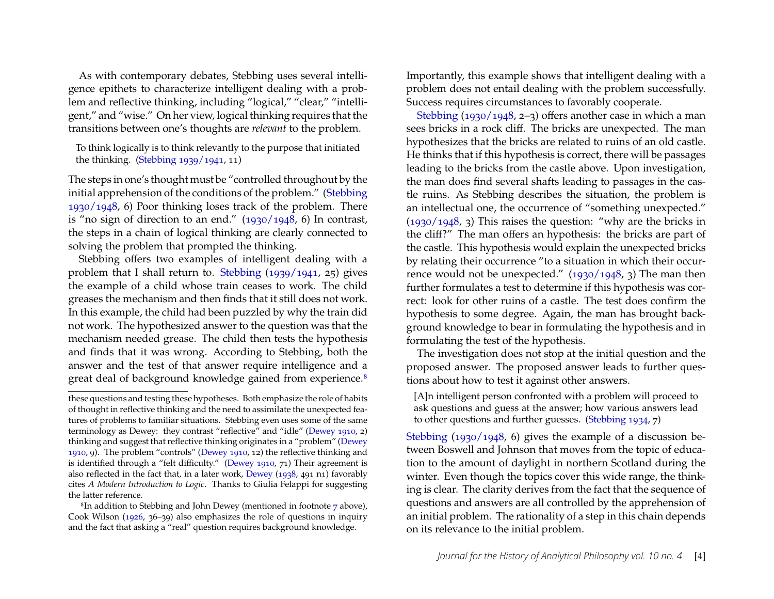As with contemporary debates, Stebbing uses several intelligence epithets to characterize intelligent dealing with a problem and reflective thinking, including "logical," "clear," "intelligent," and "wise." On her view, logical thinking requires that the transitions between one's thoughts are *relevant* to the problem.

To think logically is to think relevantly to the purpose that initiated the thinking. [\(Stebbing](#page-24-3) [1939/1941,](#page-24-3) 11)

The steps in one's thought must be "controlled throughout by the initial apprehension of the conditions of the problem." [\(Stebbing](#page-24-1) [1930/1948,](#page-24-1) 6) Poor thinking loses track of the problem. There is "no sign of direction to an end." [\(1930/1948,](#page-24-1) 6) In contrast, the steps in a chain of logical thinking are clearly connected to solving the problem that prompted the thinking.

Stebbing offers two examples of intelligent dealing with a problem that I shall return to. [Stebbing](#page-24-3) [\(1939/1941,](#page-24-3) 25) gives the example of a child whose train ceases to work. The child greases the mechanism and then finds that it still does not work. In this example, the child had been puzzled by why the train did not work. The hypothesized answer to the question was that the mechanism needed grease. The child then tests the hypothesis and finds that it was wrong. According to Stebbing, both the answer and the test of that answer require intelligence and a great deal of background knowledge gained from experience.<sup>[8](#page-4-0)</sup>

Importantly, this example shows that intelligent dealing with a problem does not entail dealing with the problem successfully. Success requires circumstances to favorably cooperate.

[Stebbing](#page-24-1) [\(1930/1948,](#page-24-1) 2–3) offers another case in which a man sees bricks in a rock cliff. The bricks are unexpected. The man hypothesizes that the bricks are related to ruins of an old castle. He thinks that if this hypothesis is correct, there will be passages leading to the bricks from the castle above. Upon investigation, the man does find several shafts leading to passages in the castle ruins. As Stebbing describes the situation, the problem is an intellectual one, the occurrence of "something unexpected." [\(1930/1948,](#page-24-1) 3) This raises the question: "why are the bricks in the cliff?" The man offers an hypothesis: the bricks are part of the castle. This hypothesis would explain the unexpected bricks by relating their occurrence "to a situation in which their occurrence would not be unexpected."  $(1930/1948, 3)$  $(1930/1948, 3)$  The man then further formulates a test to determine if this hypothesis was correct: look for other ruins of a castle. The test does confirm the hypothesis to some degree. Again, the man has brought background knowledge to bear in formulating the hypothesis and in formulating the test of the hypothesis.

The investigation does not stop at the initial question and the proposed answer. The proposed answer leads to further questions about how to test it against other answers.

[Stebbing](#page-24-1) [\(1930/1948,](#page-24-1) 6) gives the example of a discussion between Boswell and Johnson that moves from the topic of education to the amount of daylight in northern Scotland during the winter. Even though the topics cover this wide range, the thinking is clear. The clarity derives from the fact that the sequence of questions and answers are all controlled by the apprehension of an initial problem. The rationality of a step in this chain depends on its relevance to the initial problem.

these questions and testing these hypotheses. Both emphasize the role of habits of thought in reflective thinking and the need to assimilate the unexpected features of problems to familiar situations. Stebbing even uses some of the same terminology as Dewey: they contrast "reflective" and "idle" [\(Dewey](#page-23-7) [1910,](#page-23-7) 2) thinking and suggest that reflective thinking originates in a "problem" [\(Dewey](#page-23-7) [1910,](#page-23-7) 9). The problem "controls" [\(Dewey](#page-23-7) [1910,](#page-23-7) 12) the reflective thinking and is identified through a "felt difficulty." [\(Dewey](#page-23-7) [1910,](#page-23-7) 71) Their agreement is also reflected in the fact that, in a later work, [Dewey](#page-23-8) [\(1938,](#page-23-8) 491 n1) favorably cites *A Modern Introduction to Logic*. Thanks to Giulia Felappi for suggesting the latter reference.

<span id="page-4-0"></span><sup>8</sup>In addition to Stebbing and John Dewey (mentioned in footnote [7](#page-3-3) above), Cook Wilson [\(1926,](#page-24-7) 36–39) also emphasizes the role of questions in inquiry and the fact that asking a "real" question requires background knowledge.

<sup>[</sup>A]n intelligent person confronted with a problem will proceed to ask questions and guess at the answer; how various answers lead to other questions and further guesses. [\(Stebbing](#page-24-2) [1934,](#page-24-2) 7)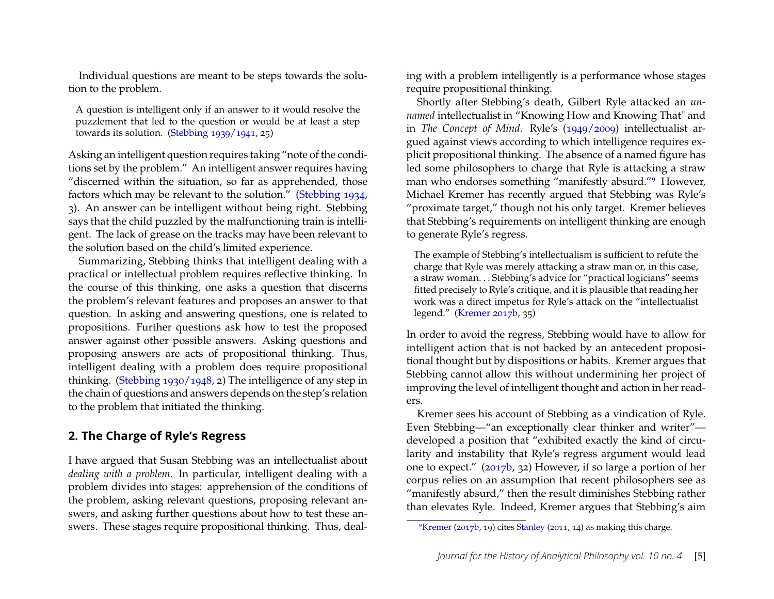Individual questions are meant to be steps towards the solution to the problem.

A question is intelligent only if an answer to it would resolve the puzzlement that led to the question or would be at least a step towards its solution. [\(Stebbing](#page-24-3) [1939/1941,](#page-24-3) 25)

Asking an intelligent question requires taking "note of the conditions set by the problem." An intelligent answer requires having "discerned within the situation, so far as apprehended, those factors which may be relevant to the solution." [\(Stebbing](#page-24-2) [1934,](#page-24-2) 3). An answer can be intelligent without being right. Stebbing says that the child puzzled by the malfunctioning train is intelligent. The lack of grease on the tracks may have been relevant to the solution based on the child's limited experience.

Summarizing, Stebbing thinks that intelligent dealing with a practical or intellectual problem requires reflective thinking. In the course of this thinking, one asks a question that discerns the problem's relevant features and proposes an answer to that question. In asking and answering questions, one is related to propositions. Further questions ask how to test the proposed answer against other possible answers. Asking questions and proposing answers are acts of propositional thinking. Thus, intelligent dealing with a problem does require propositional thinking. [\(Stebbing](#page-24-1) [1930/1948,](#page-24-1) 2) The intelligence of any step in the chain of questions and answers depends on the step's relation to the problem that initiated the thinking.

## **2. The Charge of Ryle's Regress**

I have argued that Susan Stebbing was an intellectualist about *dealing with a problem*. In particular, intelligent dealing with a problem divides into stages: apprehension of the conditions of the problem, asking relevant questions, proposing relevant answers, and asking further questions about how to test these answers. These stages require propositional thinking. Thus, dealing with a problem intelligently is a performance whose stages require propositional thinking.

Shortly after Stebbing's death, Gilbert Ryle attacked an *unnamed* intellectualist in "Knowing How and Knowing That" and in *The Concept of Mind*. Ryle's [\(1949/2009\)](#page-23-2) intellectualist argued against views according to which intelligence requires explicit propositional thinking. The absence of a named figure has led some philosophers to charge that Ryle is attacking a straw man who endorses something "manifestly absurd."[9](#page-5-0) However, Michael Kremer has recently argued that Stebbing was Ryle's "proximate target," though not his only target. Kremer believes that Stebbing's requirements on intelligent thinking are enough to generate Ryle's regress.

The example of Stebbing's intellectualism is sufficient to refute the charge that Ryle was merely attacking a straw man or, in this case, a straw woman. . . Stebbing's advice for "practical logicians" seems fitted precisely to Ryle's critique, and it is plausible that reading her work was a direct impetus for Ryle's attack on the "intellectualist legend." [\(Kremer](#page-23-1) [2017b,](#page-23-1) 35)

In order to avoid the regress, Stebbing would have to allow for intelligent action that is not backed by an antecedent propositional thought but by dispositions or habits. Kremer argues that Stebbing cannot allow this without undermining her project of improving the level of intelligent thought and action in her readers.

Kremer sees his account of Stebbing as a vindication of Ryle. Even Stebbing—"an exceptionally clear thinker and writer" developed a position that "exhibited exactly the kind of circularity and instability that Ryle's regress argument would lead one to expect." [\(2017b,](#page-23-1) 32) However, if so large a portion of her corpus relies on an assumption that recent philosophers see as "manifestly absurd," then the result diminishes Stebbing rather than elevates Ryle. Indeed, Kremer argues that Stebbing's aim

<span id="page-5-0"></span><sup>9</sup>[Kremer](#page-23-1) [\(2017b,](#page-23-1) 19) cites [Stanley](#page-23-9) [\(2011,](#page-23-9) 14) as making this charge.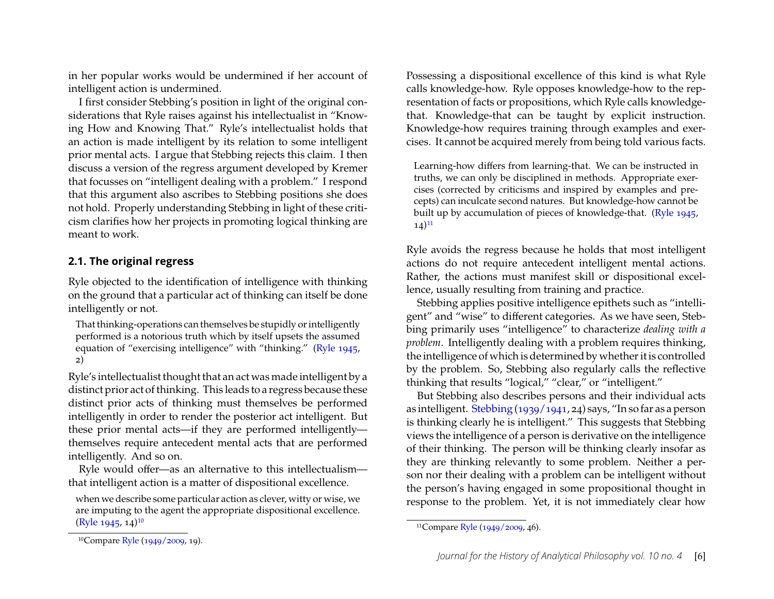in her popular works would be undermined if her account of intelligent action is undermined.

I first consider Stebbing's position in light of the original considerations that Ryle raises against his intellectualist in "Knowing How and Knowing That." Ryle's intellectualist holds that an action is made intelligent by its relation to some intelligent prior mental acts. I argue that Stebbing rejects this claim. I then discuss a version of the regress argument developed by Kremer that focusses on "intelligent dealing with a problem." I respond that this argument also ascribes to Stebbing positions she does not hold. Properly understanding Stebbing in light of these criticism clarifies how her projects in promoting logical thinking are meant to work.

#### **2.1. The original regress**

Ryle objected to the identification of intelligence with thinking on the ground that a particular act of thinking can itself be done intelligently or not.

That thinking-operations can themselves be stupidly or intelligently performed is a notorious truth which by itself upsets the assumed equation of "exercising intelligence" with "thinking." [\(Ryle](#page-23-10) [1945,](#page-23-10) 2)

Ryle's intellectualist thought that an act was made intelligent by a distinct prior act of thinking. This leads to a regress because these distinct prior acts of thinking must themselves be performed intelligently in order to render the posterior act intelligent. But these prior mental acts—if they are performed intelligently themselves require antecedent mental acts that are performed intelligently. And so on.

Ryle would offer—as an alternative to this intellectualism that intelligent action is a matter of dispositional excellence.

when we describe some particular action as clever, witty or wise, we are imputing to the agent the appropriate dispositional excellence.  $(Ryle 1945, 14)$  $(Ryle 1945, 14)$  $(Ryle 1945, 14)$  $(Ryle 1945, 14)$ <sup>[10](#page-6-0)</sup>

Learning-how differs from learning-that. We can be instructed in truths, we can only be disciplined in methods. Appropriate exercises (corrected by criticisms and inspired by examples and precepts) can inculcate second natures. But knowledge-how cannot be built up by accumulation of pieces of knowledge-that. [\(Ryle](#page-23-10) [1945,](#page-23-10)  $(14)^{11}$  $(14)^{11}$  $(14)^{11}$ 

Ryle avoids the regress because he holds that most intelligent actions do not require antecedent intelligent mental actions. Rather, the actions must manifest skill or dispositional excellence, usually resulting from training and practice.

Stebbing applies positive intelligence epithets such as "intelligent" and "wise" to different categories. As we have seen, Stebbing primarily uses "intelligence" to characterize *dealing with a problem*. Intelligently dealing with a problem requires thinking, the intelligence of which is determined by whether it is controlled by the problem. So, Stebbing also regularly calls the reflective thinking that results "logical," "clear," or "intelligent."

But Stebbing also describes persons and their individual acts as intelligent. [Stebbing](#page-24-3) [\(1939/1941,](#page-24-3) 24) says, "In so far as a person is thinking clearly he is intelligent." This suggests that Stebbing views the intelligence of a person is derivative on the intelligence of their thinking. The person will be thinking clearly insofar as they are thinking relevantly to some problem. Neither a person nor their dealing with a problem can be intelligent without the person's having engaged in some propositional thought in response to the problem. Yet, it is not immediately clear how

Possessing a dispositional excellence of this kind is what Ryle calls knowledge-how. Ryle opposes knowledge-how to the representation of facts or propositions, which Ryle calls knowledgethat. Knowledge-that can be taught by explicit instruction. Knowledge-how requires training through examples and exercises. It cannot be acquired merely from being told various facts.

<span id="page-6-1"></span><sup>11</sup>Compare [Ryle](#page-23-2) [\(1949/2009,](#page-23-2) 46).

<span id="page-6-0"></span><sup>10</sup>Compare [Ryle](#page-23-2) [\(1949/2009,](#page-23-2) 19).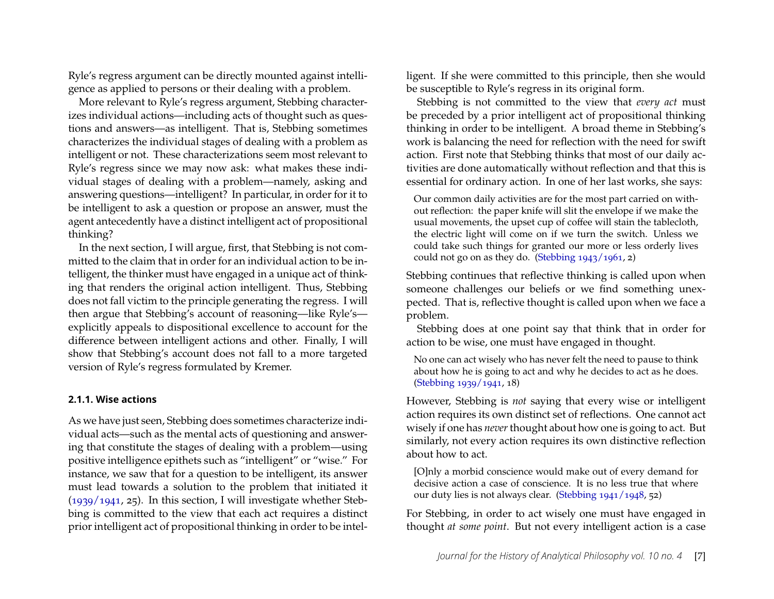Ryle's regress argument can be directly mounted against intelligence as applied to persons or their dealing with a problem.

More relevant to Ryle's regress argument, Stebbing characterizes individual actions—including acts of thought such as questions and answers—as intelligent. That is, Stebbing sometimes characterizes the individual stages of dealing with a problem as intelligent or not. These characterizations seem most relevant to Ryle's regress since we may now ask: what makes these individual stages of dealing with a problem—namely, asking and answering questions—intelligent? In particular, in order for it to be intelligent to ask a question or propose an answer, must the agent antecedently have a distinct intelligent act of propositional thinking?

In the next section, I will argue, first, that Stebbing is not committed to the claim that in order for an individual action to be intelligent, the thinker must have engaged in a unique act of thinking that renders the original action intelligent. Thus, Stebbing does not fall victim to the principle generating the regress. I will then argue that Stebbing's account of reasoning—like Ryle's explicitly appeals to dispositional excellence to account for the difference between intelligent actions and other. Finally, I will show that Stebbing's account does not fall to a more targeted version of Ryle's regress formulated by Kremer.

#### **2.1.1. Wise actions**

As we have just seen, Stebbing does sometimes characterize individual acts—such as the mental acts of questioning and answering that constitute the stages of dealing with a problem—using positive intelligence epithets such as "intelligent" or "wise." For instance, we saw that for a question to be intelligent, its answer must lead towards a solution to the problem that initiated it  $(1939/1941, 25)$  $(1939/1941, 25)$ . In this section, I will investigate whether Stebbing is committed to the view that each act requires a distinct prior intelligent act of propositional thinking in order to be intelligent. If she were committed to this principle, then she would be susceptible to Ryle's regress in its original form.

Stebbing is not committed to the view that *every act* must be preceded by a prior intelligent act of propositional thinking thinking in order to be intelligent. A broad theme in Stebbing's work is balancing the need for reflection with the need for swift action. First note that Stebbing thinks that most of our daily activities are done automatically without reflection and that this is essential for ordinary action. In one of her last works, she says:

Our common daily activities are for the most part carried on without reflection: the paper knife will slit the envelope if we make the usual movements, the upset cup of coffee will stain the tablecloth, the electric light will come on if we turn the switch. Unless we could take such things for granted our more or less orderly lives could not go on as they do. [\(Stebbing](#page-24-8)  $1943/1961$ , 2)

Stebbing continues that reflective thinking is called upon when someone challenges our beliefs or we find something unexpected. That is, reflective thought is called upon when we face a problem.

Stebbing does at one point say that think that in order for action to be wise, one must have engaged in thought.

No one can act wisely who has never felt the need to pause to think about how he is going to act and why he decides to act as he does. [\(Stebbing](#page-24-3) [1939/1941,](#page-24-3) 18)

However, Stebbing is *not* saying that every wise or intelligent action requires its own distinct set of reflections. One cannot act wisely if one has *never*thought about how one is going to act. But similarly, not every action requires its own distinctive reflection about how to act.

[O]nly a morbid conscience would make out of every demand for decisive action a case of conscience. It is no less true that where our duty lies is not always clear. [\(Stebbing](#page-24-0) [1941/1948,](#page-24-0) 52)

For Stebbing, in order to act wisely one must have engaged in thought *at some point*. But not every intelligent action is a case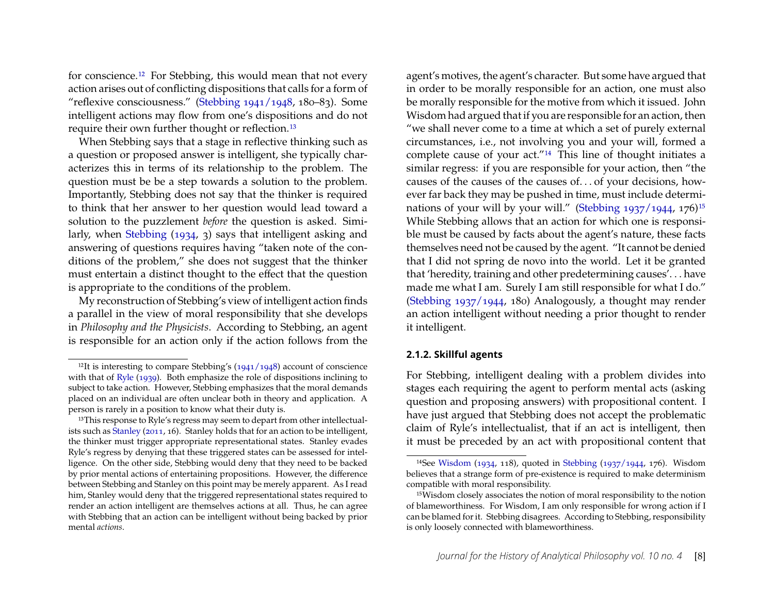for conscience.[12](#page-8-0) For Stebbing, this would mean that not every action arises out of conflicting dispositions that calls for a form of "reflexive consciousness." [\(Stebbing](#page-24-0) [1941/1948,](#page-24-0) 180–83). Some intelligent actions may flow from one's dispositions and do not require their own further thought or reflection.<sup>[13](#page-8-1)</sup>

When Stebbing says that a stage in reflective thinking such as a question or proposed answer is intelligent, she typically characterizes this in terms of its relationship to the problem. The question must be be a step towards a solution to the problem. Importantly, Stebbing does not say that the thinker is required to think that her answer to her question would lead toward a solution to the puzzlement *before* the question is asked. Similarly, when [Stebbing](#page-24-2) [\(1934,](#page-24-2) 3) says that intelligent asking and answering of questions requires having "taken note of the conditions of the problem," she does not suggest that the thinker must entertain a distinct thought to the effect that the question is appropriate to the conditions of the problem.

My reconstruction of Stebbing's view of intelligent action finds a parallel in the view of moral responsibility that she develops in *Philosophy and the Physicists*. According to Stebbing, an agent is responsible for an action only if the action follows from the

agent's motives, the agent's character. But some have argued that in order to be morally responsible for an action, one must also be morally responsible for the motive from which it issued. John Wisdom had argued that if you are responsible for an action, then "we shall never come to a time at which a set of purely external circumstances, i.e., not involving you and your will, formed a complete cause of your act."[14](#page-8-2) This line of thought initiates a similar regress: if you are responsible for your action, then "the causes of the causes of the causes of. . . of your decisions, however far back they may be pushed in time, must include determi-nations of your will by your will." [\(Stebbing](#page-24-9)  $1937/1944$ ,  $176$ )<sup>[15](#page-8-3)</sup> While Stebbing allows that an action for which one is responsible must be caused by facts about the agent's nature, these facts themselves need not be caused by the agent. "It cannot be denied that I did not spring de novo into the world. Let it be granted that 'heredity, training and other predetermining causes'. . . have made me what I am. Surely I am still responsible for what I do." [\(Stebbing](#page-24-9) [1937/1944,](#page-24-9) 180) Analogously, a thought may render an action intelligent without needing a prior thought to render it intelligent.

#### **2.1.2. Skillful agents**

For Stebbing, intelligent dealing with a problem divides into stages each requiring the agent to perform mental acts (asking question and proposing answers) with propositional content. I have just argued that Stebbing does not accept the problematic claim of Ryle's intellectualist, that if an act is intelligent, then it must be preceded by an act with propositional content that

<span id="page-8-0"></span><sup>&</sup>lt;sup>12</sup>It is interesting to compare Stebbing's  $(1941/1948)$  account of conscience with that of [Ryle](#page-23-11) [\(1939\)](#page-23-11). Both emphasize the role of dispositions inclining to subject to take action. However, Stebbing emphasizes that the moral demands placed on an individual are often unclear both in theory and application. A person is rarely in a position to know what their duty is.

<span id="page-8-1"></span><sup>&</sup>lt;sup>13</sup>This response to Ryle's regress may seem to depart from other intellectualists such as [Stanley](#page-23-9) [\(2011,](#page-23-9) 16). Stanley holds that for an action to be intelligent, the thinker must trigger appropriate representational states. Stanley evades Ryle's regress by denying that these triggered states can be assessed for intelligence. On the other side, Stebbing would deny that they need to be backed by prior mental actions of entertaining propositions. However, the difference between Stebbing and Stanley on this point may be merely apparent. As I read him, Stanley would deny that the triggered representational states required to render an action intelligent are themselves actions at all. Thus, he can agree with Stebbing that an action can be intelligent without being backed by prior mental *actions*.

<span id="page-8-2"></span><sup>14</sup>See [Wisdom](#page-24-10) [\(1934,](#page-24-10) 118), quoted in [Stebbing](#page-24-9) [\(1937/1944,](#page-24-9) 176). Wisdom believes that a strange form of pre-existence is required to make determinism compatible with moral responsibility.

<span id="page-8-3"></span><sup>&</sup>lt;sup>15</sup>Wisdom closely associates the notion of moral responsibility to the notion of blameworthiness. For Wisdom, I am only responsible for wrong action if I can be blamed for it. Stebbing disagrees. According to Stebbing, responsibility is only loosely connected with blameworthiness.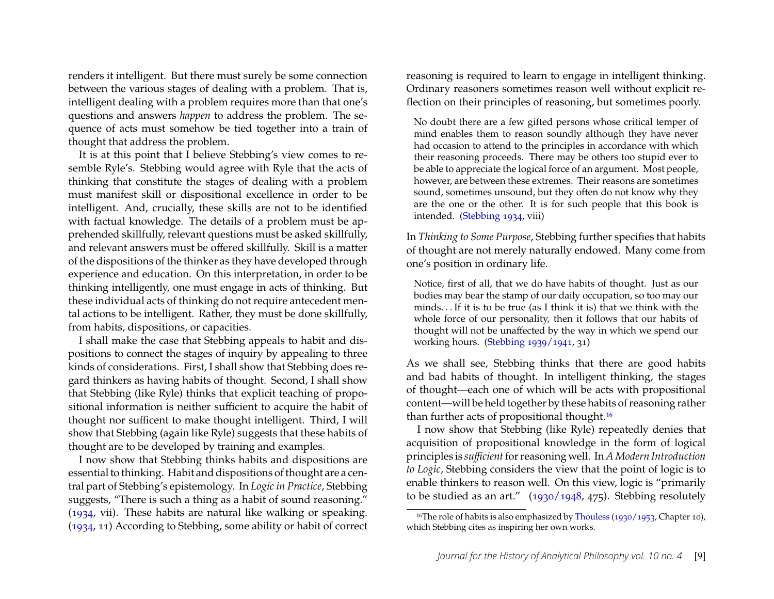renders it intelligent. But there must surely be some connection between the various stages of dealing with a problem. That is, intelligent dealing with a problem requires more than that one's questions and answers *happen* to address the problem. The sequence of acts must somehow be tied together into a train of thought that address the problem.

It is at this point that I believe Stebbing's view comes to resemble Ryle's. Stebbing would agree with Ryle that the acts of thinking that constitute the stages of dealing with a problem must manifest skill or dispositional excellence in order to be intelligent. And, crucially, these skills are not to be identified with factual knowledge. The details of a problem must be apprehended skillfully, relevant questions must be asked skillfully, and relevant answers must be offered skillfully. Skill is a matter of the dispositions of the thinker as they have developed through experience and education. On this interpretation, in order to be thinking intelligently, one must engage in acts of thinking. But these individual acts of thinking do not require antecedent mental actions to be intelligent. Rather, they must be done skillfully, from habits, dispositions, or capacities.

I shall make the case that Stebbing appeals to habit and dispositions to connect the stages of inquiry by appealing to three kinds of considerations. First, I shall show that Stebbing does regard thinkers as having habits of thought. Second, I shall show that Stebbing (like Ryle) thinks that explicit teaching of propositional information is neither sufficient to acquire the habit of thought nor sufficent to make thought intelligent. Third, I will show that Stebbing (again like Ryle) suggests that these habits of thought are to be developed by training and examples.

I now show that Stebbing thinks habits and dispositions are essential to thinking. Habit and dispositions of thought are a central part of Stebbing's epistemology. In *Logic in Practice*, Stebbing suggests, "There is such a thing as a habit of sound reasoning." [\(1934,](#page-24-2) vii). These habits are natural like walking or speaking. [\(1934,](#page-24-2) 11) According to Stebbing, some ability or habit of correct reasoning is required to learn to engage in intelligent thinking. Ordinary reasoners sometimes reason well without explicit reflection on their principles of reasoning, but sometimes poorly.

No doubt there are a few gifted persons whose critical temper of mind enables them to reason soundly although they have never had occasion to attend to the principles in accordance with which their reasoning proceeds. There may be others too stupid ever to be able to appreciate the logical force of an argument. Most people, however, are between these extremes. Their reasons are sometimes sound, sometimes unsound, but they often do not know why they are the one or the other. It is for such people that this book is intended. [\(Stebbing](#page-24-2) [1934,](#page-24-2) viii)

In *Thinking to Some Purpose*, Stebbing further specifies that habits of thought are not merely naturally endowed. Many come from one's position in ordinary life.

Notice, first of all, that we do have habits of thought. Just as our bodies may bear the stamp of our daily occupation, so too may our minds. . . If it is to be true (as I think it is) that we think with the whole force of our personality, then it follows that our habits of thought will not be unaffected by the way in which we spend our working hours. [\(Stebbing](#page-24-3) [1939/1941,](#page-24-3) 31)

As we shall see, Stebbing thinks that there are good habits and bad habits of thought. In intelligent thinking, the stages of thought—each one of which will be acts with propositional content—will be held together by these habits of reasoning rather than further acts of propositional thought.<sup>[16](#page-9-0)</sup>

I now show that Stebbing (like Ryle) repeatedly denies that acquisition of propositional knowledge in the form of logical principles is *sufficient*for reasoning well. In *A Modern Introduction to Logic*, Stebbing considers the view that the point of logic is to enable thinkers to reason well. On this view, logic is "primarily to be studied as an art." [\(1930/1948,](#page-24-1) 475). Stebbing resolutely

<span id="page-9-0"></span><sup>&</sup>lt;sup>16</sup>The role of habits is also emphasized by [Thouless](#page-24-11) [\(1930/1953,](#page-24-11) Chapter 10), which Stebbing cites as inspiring her own works.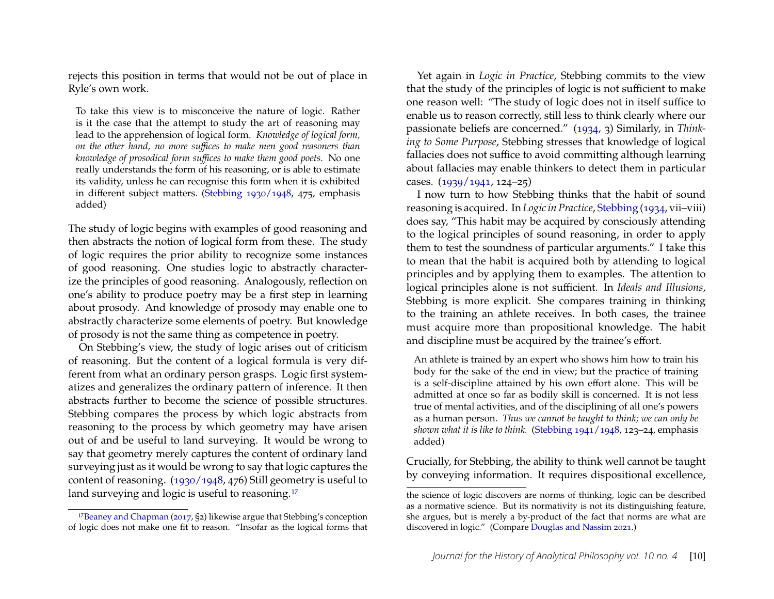rejects this position in terms that would not be out of place in Ryle's own work.

To take this view is to misconceive the nature of logic. Rather is it the case that the attempt to study the art of reasoning may lead to the apprehension of logical form. *Knowledge of logical form, on the other hand, no more suffices to make men good reasoners than knowledge of prosodical form suffices to make them good poets.* No one really understands the form of his reasoning, or is able to estimate its validity, unless he can recognise this form when it is exhibited in different subject matters. [\(Stebbing](#page-24-1) [1930/1948,](#page-24-1) 475, emphasis added)

The study of logic begins with examples of good reasoning and then abstracts the notion of logical form from these. The study of logic requires the prior ability to recognize some instances of good reasoning. One studies logic to abstractly characterize the principles of good reasoning. Analogously, reflection on one's ability to produce poetry may be a first step in learning about prosody. And knowledge of prosody may enable one to abstractly characterize some elements of poetry. But knowledge of prosody is not the same thing as competence in poetry.

On Stebbing's view, the study of logic arises out of criticism of reasoning. But the content of a logical formula is very different from what an ordinary person grasps. Logic first systematizes and generalizes the ordinary pattern of inference. It then abstracts further to become the science of possible structures. Stebbing compares the process by which logic abstracts from reasoning to the process by which geometry may have arisen out of and be useful to land surveying. It would be wrong to say that geometry merely captures the content of ordinary land surveying just as it would be wrong to say that logic captures the content of reasoning. [\(1930/1948,](#page-24-1) 476) Still geometry is useful to land surveying and logic is useful to reasoning.<sup>[17](#page-10-0)</sup>

Yet again in *Logic in Practice*, Stebbing commits to the view that the study of the principles of logic is not sufficient to make one reason well: "The study of logic does not in itself suffice to enable us to reason correctly, still less to think clearly where our passionate beliefs are concerned." [\(1934,](#page-24-2) 3) Similarly, in *Thinking to Some Purpose*, Stebbing stresses that knowledge of logical fallacies does not suffice to avoid committing although learning about fallacies may enable thinkers to detect them in particular cases. [\(1939/1941,](#page-24-3) 124–25)

I now turn to how Stebbing thinks that the habit of sound reasoning is acquired. In *Logic in Practice*, [Stebbing](#page-24-2) [\(1934,](#page-24-2) vii–viii) does say, "This habit may be acquired by consciously attending to the logical principles of sound reasoning, in order to apply them to test the soundness of particular arguments." I take this to mean that the habit is acquired both by attending to logical principles and by applying them to examples. The attention to logical principles alone is not sufficient. In *Ideals and Illusions*, Stebbing is more explicit. She compares training in thinking to the training an athlete receives. In both cases, the trainee must acquire more than propositional knowledge. The habit and discipline must be acquired by the trainee's effort.

An athlete is trained by an expert who shows him how to train his body for the sake of the end in view; but the practice of training is a self-discipline attained by his own effort alone. This will be admitted at once so far as bodily skill is concerned. It is not less true of mental activities, and of the disciplining of all one's powers as a human person. *Thus we cannot be taught to think; we can only be shown what it is like to think.* [\(Stebbing](#page-24-0) [1941/1948,](#page-24-0) 123–24, emphasis added)

Crucially, for Stebbing, the ability to think well cannot be taught by conveying information. It requires dispositional excellence,

<span id="page-10-0"></span><sup>17</sup>[Beaney and Chapman](#page-22-1) [\(2017,](#page-22-1) §2) likewise argue that Stebbing's conception of logic does not make one fit to reason. "Insofar as the logical forms that

the science of logic discovers are norms of thinking, logic can be described as a normative science. But its normativity is not its distinguishing feature, she argues, but is merely a by-product of the fact that norms are what are discovered in logic." (Compare [Douglas and Nassim](#page-23-12) [2021.](#page-23-12))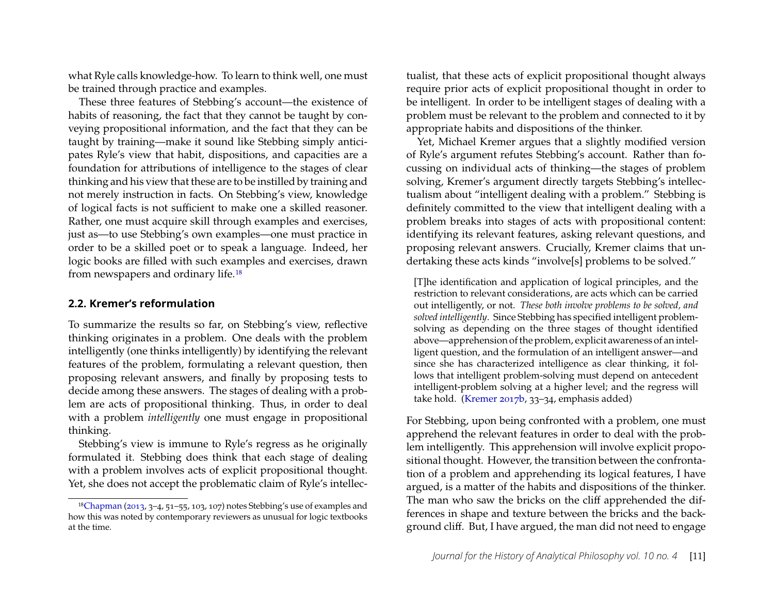what Ryle calls knowledge-how. To learn to think well, one must be trained through practice and examples.

These three features of Stebbing's account—the existence of habits of reasoning, the fact that they cannot be taught by conveying propositional information, and the fact that they can be taught by training—make it sound like Stebbing simply anticipates Ryle's view that habit, dispositions, and capacities are a foundation for attributions of intelligence to the stages of clear thinking and his view that these are to be instilled by training and not merely instruction in facts. On Stebbing's view, knowledge of logical facts is not sufficient to make one a skilled reasoner. Rather, one must acquire skill through examples and exercises, just as—to use Stebbing's own examples—one must practice in order to be a skilled poet or to speak a language. Indeed, her logic books are filled with such examples and exercises, drawn from newspapers and ordinary life.[18](#page-11-0)

#### **2.2. Kremer's reformulation**

To summarize the results so far, on Stebbing's view, reflective thinking originates in a problem. One deals with the problem intelligently (one thinks intelligently) by identifying the relevant features of the problem, formulating a relevant question, then proposing relevant answers, and finally by proposing tests to decide among these answers. The stages of dealing with a problem are acts of propositional thinking. Thus, in order to deal with a problem *intelligently* one must engage in propositional thinking.

Stebbing's view is immune to Ryle's regress as he originally formulated it. Stebbing does think that each stage of dealing with a problem involves acts of explicit propositional thought. Yet, she does not accept the problematic claim of Ryle's intellectualist, that these acts of explicit propositional thought always require prior acts of explicit propositional thought in order to be intelligent. In order to be intelligent stages of dealing with a problem must be relevant to the problem and connected to it by appropriate habits and dispositions of the thinker.

Yet, Michael Kremer argues that a slightly modified version of Ryle's argument refutes Stebbing's account. Rather than focussing on individual acts of thinking—the stages of problem solving, Kremer's argument directly targets Stebbing's intellectualism about "intelligent dealing with a problem." Stebbing is definitely committed to the view that intelligent dealing with a problem breaks into stages of acts with propositional content: identifying its relevant features, asking relevant questions, and proposing relevant answers. Crucially, Kremer claims that undertaking these acts kinds "involve[s] problems to be solved."

[T]he identification and application of logical principles, and the restriction to relevant considerations, are acts which can be carried out intelligently, or not. *These both involve problems to be solved, and solved intelligently*. Since Stebbing has specified intelligent problemsolving as depending on the three stages of thought identified above—apprehension of the problem, explicit awareness of an intelligent question, and the formulation of an intelligent answer—and since she has characterized intelligence as clear thinking, it follows that intelligent problem-solving must depend on antecedent intelligent-problem solving at a higher level; and the regress will take hold. [\(Kremer](#page-23-1) [2017b,](#page-23-1) 33–34, emphasis added)

For Stebbing, upon being confronted with a problem, one must apprehend the relevant features in order to deal with the problem intelligently. This apprehension will involve explicit propositional thought. However, the transition between the confrontation of a problem and apprehending its logical features, I have argued, is a matter of the habits and dispositions of the thinker. The man who saw the bricks on the cliff apprehended the differences in shape and texture between the bricks and the background cliff. But, I have argued, the man did not need to engage

<span id="page-11-0"></span><sup>18</sup>[Chapman](#page-23-13) [\(2013,](#page-23-13) 3–4, 51–55, 103, 107) notes Stebbing's use of examples and how this was noted by contemporary reviewers as unusual for logic textbooks at the time.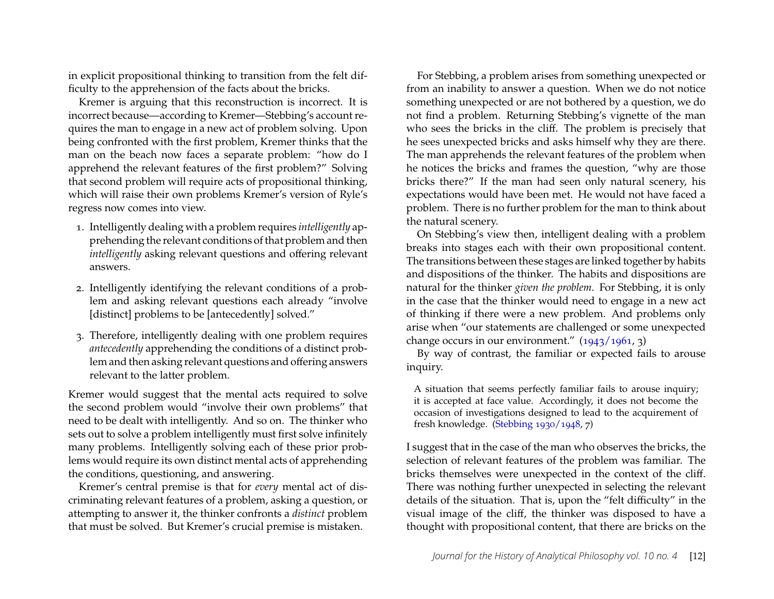in explicit propositional thinking to transition from the felt difficulty to the apprehension of the facts about the bricks.

Kremer is arguing that this reconstruction is incorrect. It is incorrect because—according to Kremer—Stebbing's account requires the man to engage in a new act of problem solving. Upon being confronted with the first problem, Kremer thinks that the man on the beach now faces a separate problem: "how do I apprehend the relevant features of the first problem?" Solving that second problem will require acts of propositional thinking, which will raise their own problems Kremer's version of Ryle's regress now comes into view.

- 1. Intelligently dealing with a problem requires *intelligently* apprehending the relevant conditions of that problem and then *intelligently* asking relevant questions and offering relevant answers.
- 2. Intelligently identifying the relevant conditions of a problem and asking relevant questions each already "involve [distinct] problems to be [antecedently] solved."
- 3. Therefore, intelligently dealing with one problem requires *antecedently* apprehending the conditions of a distinct problem and then asking relevant questions and offering answers relevant to the latter problem.

Kremer would suggest that the mental acts required to solve the second problem would "involve their own problems" that need to be dealt with intelligently. And so on. The thinker who sets out to solve a problem intelligently must first solve infinitely many problems. Intelligently solving each of these prior problems would require its own distinct mental acts of apprehending the conditions, questioning, and answering.

Kremer's central premise is that for *every* mental act of discriminating relevant features of a problem, asking a question, or attempting to answer it, the thinker confronts a *distinct* problem that must be solved. But Kremer's crucial premise is mistaken.

For Stebbing, a problem arises from something unexpected or from an inability to answer a question. When we do not notice something unexpected or are not bothered by a question, we do not find a problem. Returning Stebbing's vignette of the man who sees the bricks in the cliff. The problem is precisely that he sees unexpected bricks and asks himself why they are there. The man apprehends the relevant features of the problem when he notices the bricks and frames the question, "why are those bricks there?" If the man had seen only natural scenery, his expectations would have been met. He would not have faced a problem. There is no further problem for the man to think about the natural scenery.

On Stebbing's view then, intelligent dealing with a problem breaks into stages each with their own propositional content. The transitions between these stages are linked together by habits and dispositions of the thinker. The habits and dispositions are natural for the thinker *given the problem*. For Stebbing, it is only in the case that the thinker would need to engage in a new act of thinking if there were a new problem. And problems only arise when "our statements are challenged or some unexpected change occurs in our environment."  $(1943/1961, 3)$  $(1943/1961, 3)$ 

By way of contrast, the familiar or expected fails to arouse inquiry.

A situation that seems perfectly familiar fails to arouse inquiry; it is accepted at face value. Accordingly, it does not become the occasion of investigations designed to lead to the acquirement of fresh knowledge. [\(Stebbing](#page-24-1) [1930/1948,](#page-24-1) 7)

I suggest that in the case of the man who observes the bricks, the selection of relevant features of the problem was familiar. The bricks themselves were unexpected in the context of the cliff. There was nothing further unexpected in selecting the relevant details of the situation. That is, upon the "felt difficulty" in the visual image of the cliff, the thinker was disposed to have a thought with propositional content, that there are bricks on the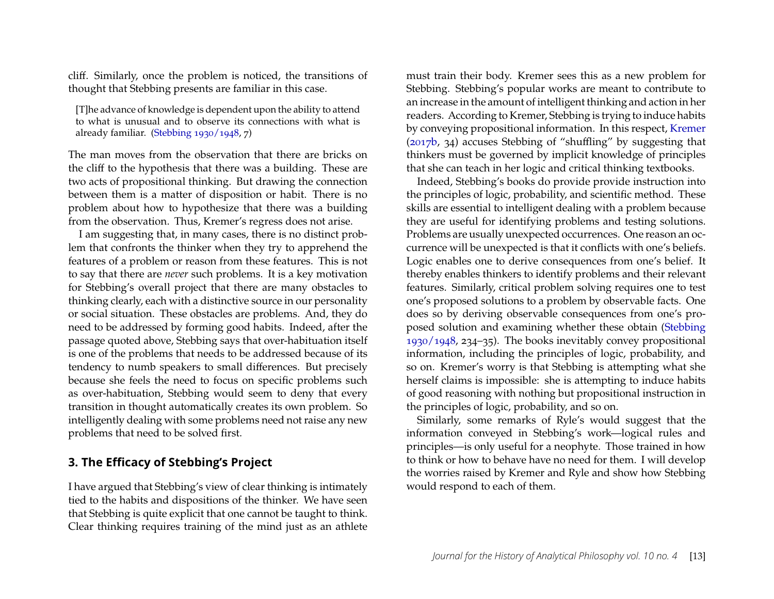cliff. Similarly, once the problem is noticed, the transitions of thought that Stebbing presents are familiar in this case.

[T]he advance of knowledge is dependent upon the ability to attend to what is unusual and to observe its connections with what is already familiar. [\(Stebbing](#page-24-1) [1930/1948,](#page-24-1) 7)

The man moves from the observation that there are bricks on the cliff to the hypothesis that there was a building. These are two acts of propositional thinking. But drawing the connection between them is a matter of disposition or habit. There is no problem about how to hypothesize that there was a building from the observation. Thus, Kremer's regress does not arise.

I am suggesting that, in many cases, there is no distinct problem that confronts the thinker when they try to apprehend the features of a problem or reason from these features. This is not to say that there are *never* such problems. It is a key motivation for Stebbing's overall project that there are many obstacles to thinking clearly, each with a distinctive source in our personality or social situation. These obstacles are problems. And, they do need to be addressed by forming good habits. Indeed, after the passage quoted above, Stebbing says that over-habituation itself is one of the problems that needs to be addressed because of its tendency to numb speakers to small differences. But precisely because she feels the need to focus on specific problems such as over-habituation, Stebbing would seem to deny that every transition in thought automatically creates its own problem. So intelligently dealing with some problems need not raise any new problems that need to be solved first.

## **3. The Efficacy of Stebbing's Project**

I have argued that Stebbing's view of clear thinking is intimately tied to the habits and dispositions of the thinker. We have seen that Stebbing is quite explicit that one cannot be taught to think. Clear thinking requires training of the mind just as an athlete

must train their body. Kremer sees this as a new problem for Stebbing. Stebbing's popular works are meant to contribute to an increase in the amount of intelligent thinking and action in her readers. According to Kremer, Stebbing is trying to induce habits by conveying propositional information. In this respect, [Kremer](#page-23-1) [\(2017b,](#page-23-1) 34) accuses Stebbing of "shuffling" by suggesting that thinkers must be governed by implicit knowledge of principles that she can teach in her logic and critical thinking textbooks.

Indeed, Stebbing's books do provide provide instruction into the principles of logic, probability, and scientific method. These skills are essential to intelligent dealing with a problem because they are useful for identifying problems and testing solutions. Problems are usually unexpected occurrences. One reason an occurrence will be unexpected is that it conflicts with one's beliefs. Logic enables one to derive consequences from one's belief. It thereby enables thinkers to identify problems and their relevant features. Similarly, critical problem solving requires one to test one's proposed solutions to a problem by observable facts. One does so by deriving observable consequences from one's proposed solution and examining whether these obtain [\(Stebbing](#page-24-1) [1930/1948,](#page-24-1) 234–35). The books inevitably convey propositional information, including the principles of logic, probability, and so on. Kremer's worry is that Stebbing is attempting what she herself claims is impossible: she is attempting to induce habits of good reasoning with nothing but propositional instruction in the principles of logic, probability, and so on.

Similarly, some remarks of Ryle's would suggest that the information conveyed in Stebbing's work—logical rules and principles—is only useful for a neophyte. Those trained in how to think or how to behave have no need for them. I will develop the worries raised by Kremer and Ryle and show how Stebbing would respond to each of them.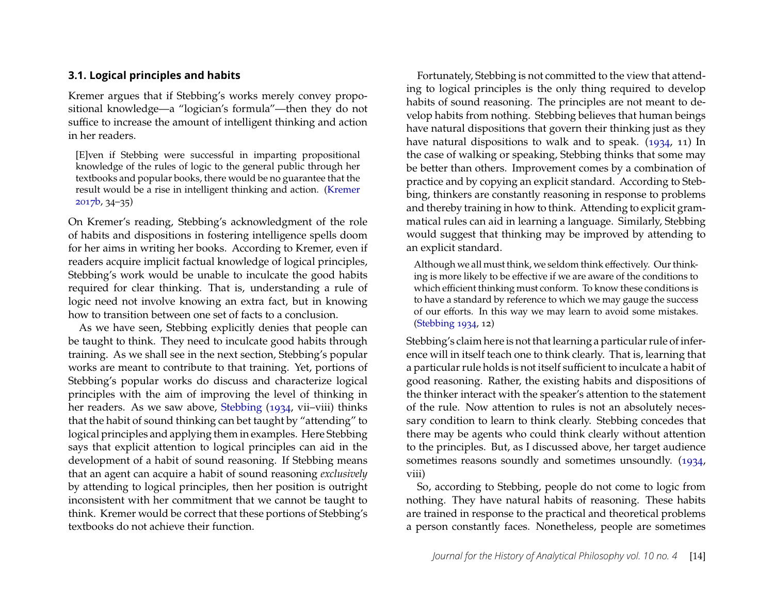#### **3.1. Logical principles and habits**

Kremer argues that if Stebbing's works merely convey propositional knowledge—a "logician's formula"—then they do not suffice to increase the amount of intelligent thinking and action in her readers.

[E]ven if Stebbing were successful in imparting propositional knowledge of the rules of logic to the general public through her textbooks and popular books, there would be no guarantee that the result would be a rise in intelligent thinking and action. [\(Kremer](#page-23-1) [2017b,](#page-23-1) 34–35)

On Kremer's reading, Stebbing's acknowledgment of the role of habits and dispositions in fostering intelligence spells doom for her aims in writing her books. According to Kremer, even if readers acquire implicit factual knowledge of logical principles, Stebbing's work would be unable to inculcate the good habits required for clear thinking. That is, understanding a rule of logic need not involve knowing an extra fact, but in knowing how to transition between one set of facts to a conclusion.

As we have seen, Stebbing explicitly denies that people can be taught to think. They need to inculcate good habits through training. As we shall see in the next section, Stebbing's popular works are meant to contribute to that training. Yet, portions of Stebbing's popular works do discuss and characterize logical principles with the aim of improving the level of thinking in her readers. As we saw above, [Stebbing](#page-24-2) [\(1934,](#page-24-2) vii–viii) thinks that the habit of sound thinking can bet taught by "attending" to logical principles and applying them in examples. Here Stebbing says that explicit attention to logical principles can aid in the development of a habit of sound reasoning. If Stebbing means that an agent can acquire a habit of sound reasoning *exclusively* by attending to logical principles, then her position is outright inconsistent with her commitment that we cannot be taught to think. Kremer would be correct that these portions of Stebbing's textbooks do not achieve their function.

Fortunately, Stebbing is not committed to the view that attending to logical principles is the only thing required to develop habits of sound reasoning. The principles are not meant to develop habits from nothing. Stebbing believes that human beings have natural dispositions that govern their thinking just as they have natural dispositions to walk and to speak. [\(1934,](#page-24-2) 11) In the case of walking or speaking, Stebbing thinks that some may be better than others. Improvement comes by a combination of practice and by copying an explicit standard. According to Stebbing, thinkers are constantly reasoning in response to problems and thereby training in how to think. Attending to explicit grammatical rules can aid in learning a language. Similarly, Stebbing would suggest that thinking may be improved by attending to an explicit standard.

Although we all must think, we seldom think effectively. Our thinking is more likely to be effective if we are aware of the conditions to which efficient thinking must conform. To know these conditions is to have a standard by reference to which we may gauge the success of our efforts. In this way we may learn to avoid some mistakes. [\(Stebbing](#page-24-2) [1934,](#page-24-2) 12)

Stebbing's claim here is not that learning a particular rule of inference will in itself teach one to think clearly. That is, learning that a particular rule holds is not itself sufficient to inculcate a habit of good reasoning. Rather, the existing habits and dispositions of the thinker interact with the speaker's attention to the statement of the rule. Now attention to rules is not an absolutely necessary condition to learn to think clearly. Stebbing concedes that there may be agents who could think clearly without attention to the principles. But, as I discussed above, her target audience sometimes reasons soundly and sometimes unsoundly. [\(1934,](#page-24-2) viii)

So, according to Stebbing, people do not come to logic from nothing. They have natural habits of reasoning. These habits are trained in response to the practical and theoretical problems a person constantly faces. Nonetheless, people are sometimes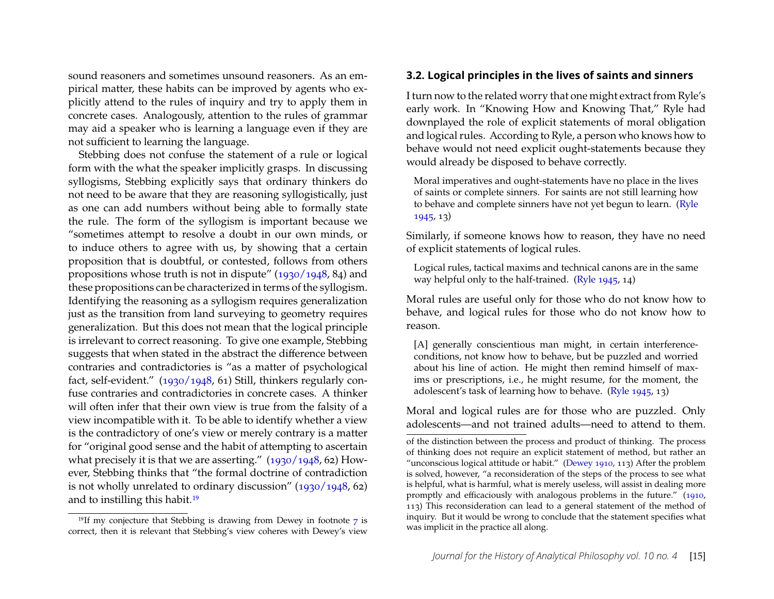sound reasoners and sometimes unsound reasoners. As an empirical matter, these habits can be improved by agents who explicitly attend to the rules of inquiry and try to apply them in concrete cases. Analogously, attention to the rules of grammar may aid a speaker who is learning a language even if they are not sufficient to learning the language.

Stebbing does not confuse the statement of a rule or logical form with the what the speaker implicitly grasps. In discussing syllogisms, Stebbing explicitly says that ordinary thinkers do not need to be aware that they are reasoning syllogistically, just as one can add numbers without being able to formally state the rule. The form of the syllogism is important because we "sometimes attempt to resolve a doubt in our own minds, or to induce others to agree with us, by showing that a certain proposition that is doubtful, or contested, follows from others propositions whose truth is not in dispute" [\(1930/1948,](#page-24-1) 84) and these propositions can be characterized in terms of the syllogism. Identifying the reasoning as a syllogism requires generalization just as the transition from land surveying to geometry requires generalization. But this does not mean that the logical principle is irrelevant to correct reasoning. To give one example, Stebbing suggests that when stated in the abstract the difference between contraries and contradictories is "as a matter of psychological fact, self-evident." [\(1930/1948,](#page-24-1) 61) Still, thinkers regularly confuse contraries and contradictories in concrete cases. A thinker will often infer that their own view is true from the falsity of a view incompatible with it. To be able to identify whether a view is the contradictory of one's view or merely contrary is a matter for "original good sense and the habit of attempting to ascertain what precisely it is that we are asserting." [\(1930/1948,](#page-24-1) 62) However, Stebbing thinks that "the formal doctrine of contradiction is not wholly unrelated to ordinary discussion" [\(1930/1948,](#page-24-1) 62) and to instilling this habit.[19](#page-15-0)

#### **3.2. Logical principles in the lives of saints and sinners**

I turn now to the related worry that one might extract from Ryle's early work. In "Knowing How and Knowing That," Ryle had downplayed the role of explicit statements of moral obligation and logical rules. According to Ryle, a person who knows how to behave would not need explicit ought-statements because they would already be disposed to behave correctly.

Moral imperatives and ought-statements have no place in the lives of saints or complete sinners. For saints are not still learning how to behave and complete sinners have not yet begun to learn. [\(Ryle](#page-23-10) [1945,](#page-23-10) 13)

Similarly, if someone knows how to reason, they have no need of explicit statements of logical rules.

Logical rules, tactical maxims and technical canons are in the same way helpful only to the half-trained. [\(Ryle](#page-23-10) [1945,](#page-23-10) 14)

Moral rules are useful only for those who do not know how to behave, and logical rules for those who do not know how to reason.

[A] generally conscientious man might, in certain interferenceconditions, not know how to behave, but be puzzled and worried about his line of action. He might then remind himself of maxims or prescriptions, i.e., he might resume, for the moment, the adolescent's task of learning how to behave. [\(Ryle](#page-23-10) [1945,](#page-23-10) 13)

Moral and logical rules are for those who are puzzled. Only adolescents—and not trained adults—need to attend to them.

<span id="page-15-0"></span><sup>&</sup>lt;sup>19</sup>If my conjecture that Stebbing is drawing from Dewey in footnote  $7$  is correct, then it is relevant that Stebbing's view coheres with Dewey's view

of the distinction between the process and product of thinking. The process of thinking does not require an explicit statement of method, but rather an "unconscious logical attitude or habit." [\(Dewey](#page-23-7) [1910,](#page-23-7) 113) After the problem is solved, however, "a reconsideration of the steps of the process to see what is helpful, what is harmful, what is merely useless, will assist in dealing more promptly and efficaciously with analogous problems in the future." [\(1910,](#page-23-7) 113) This reconsideration can lead to a general statement of the method of inquiry. But it would be wrong to conclude that the statement specifies what was implicit in the practice all along.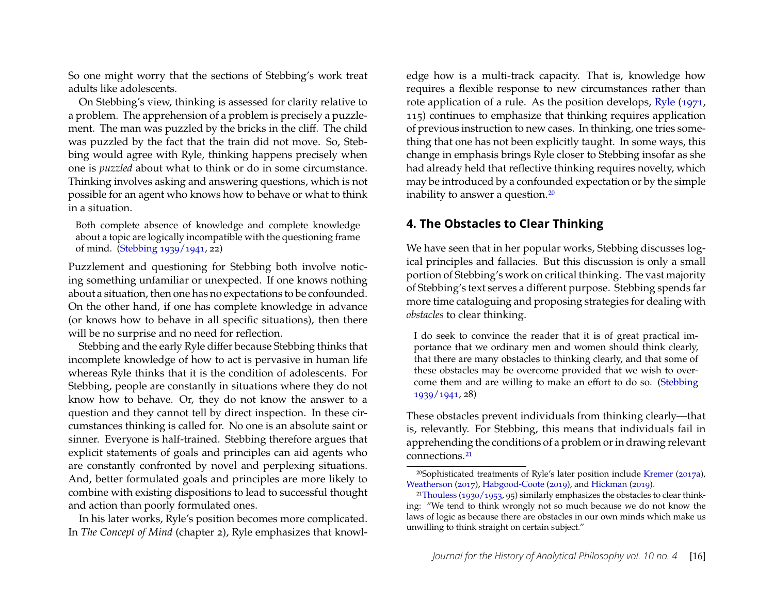So one might worry that the sections of Stebbing's work treat adults like adolescents.

On Stebbing's view, thinking is assessed for clarity relative to a problem. The apprehension of a problem is precisely a puzzlement. The man was puzzled by the bricks in the cliff. The child was puzzled by the fact that the train did not move. So, Stebbing would agree with Ryle, thinking happens precisely when one is *puzzled* about what to think or do in some circumstance. Thinking involves asking and answering questions, which is not possible for an agent who knows how to behave or what to think in a situation.

Both complete absence of knowledge and complete knowledge about a topic are logically incompatible with the questioning frame of mind. [\(Stebbing](#page-24-3) [1939/1941,](#page-24-3) 22)

Puzzlement and questioning for Stebbing both involve noticing something unfamiliar or unexpected. If one knows nothing about a situation, then one has no expectations to be confounded. On the other hand, if one has complete knowledge in advance (or knows how to behave in all specific situations), then there will be no surprise and no need for reflection.

Stebbing and the early Ryle differ because Stebbing thinks that incomplete knowledge of how to act is pervasive in human life whereas Ryle thinks that it is the condition of adolescents. For Stebbing, people are constantly in situations where they do not know how to behave. Or, they do not know the answer to a question and they cannot tell by direct inspection. In these circumstances thinking is called for. No one is an absolute saint or sinner. Everyone is half-trained. Stebbing therefore argues that explicit statements of goals and principles can aid agents who are constantly confronted by novel and perplexing situations. And, better formulated goals and principles are more likely to combine with existing dispositions to lead to successful thought and action than poorly formulated ones.

In his later works, Ryle's position becomes more complicated. In *The Concept of Mind* (chapter 2), Ryle emphasizes that knowledge how is a multi-track capacity. That is, knowledge how requires a flexible response to new circumstances rather than rote application of a rule. As the position develops, [Ryle](#page-23-14) [\(1971,](#page-23-14) 115) continues to emphasize that thinking requires application of previous instruction to new cases. In thinking, one tries something that one has not been explicitly taught. In some ways, this change in emphasis brings Ryle closer to Stebbing insofar as she had already held that reflective thinking requires novelty, which may be introduced by a confounded expectation or by the simple inability to answer a question.[20](#page-16-0)

## **4. The Obstacles to Clear Thinking**

We have seen that in her popular works, Stebbing discusses logical principles and fallacies. But this discussion is only a small portion of Stebbing's work on critical thinking. The vast majority of Stebbing's text serves a different purpose. Stebbing spends far more time cataloguing and proposing strategies for dealing with *obstacles* to clear thinking.

I do seek to convince the reader that it is of great practical importance that we ordinary men and women should think clearly, that there are many obstacles to thinking clearly, and that some of these obstacles may be overcome provided that we wish to overcome them and are willing to make an effort to do so. [\(Stebbing](#page-24-3) [1939/1941,](#page-24-3) 28)

These obstacles prevent individuals from thinking clearly—that is, relevantly. For Stebbing, this means that individuals fail in apprehending the conditions of a problem or in drawing relevant connections.[21](#page-16-1)

<span id="page-16-0"></span><sup>20</sup>Sophisticated treatments of Ryle's later position include [Kremer](#page-23-15) [\(2017a\)](#page-23-15), [Weatherson](#page-24-12) [\(2017\)](#page-24-12), [Habgood-Coote](#page-23-16) [\(2019\)](#page-23-16), and [Hickman](#page-23-17) [\(2019\)](#page-23-17).

<span id="page-16-1"></span><sup>&</sup>lt;sup>21</sup>[Thouless](#page-24-11) [\(1930/1953,](#page-24-11) 95) similarly emphasizes the obstacles to clear thinking: "We tend to think wrongly not so much because we do not know the laws of logic as because there are obstacles in our own minds which make us unwilling to think straight on certain subject."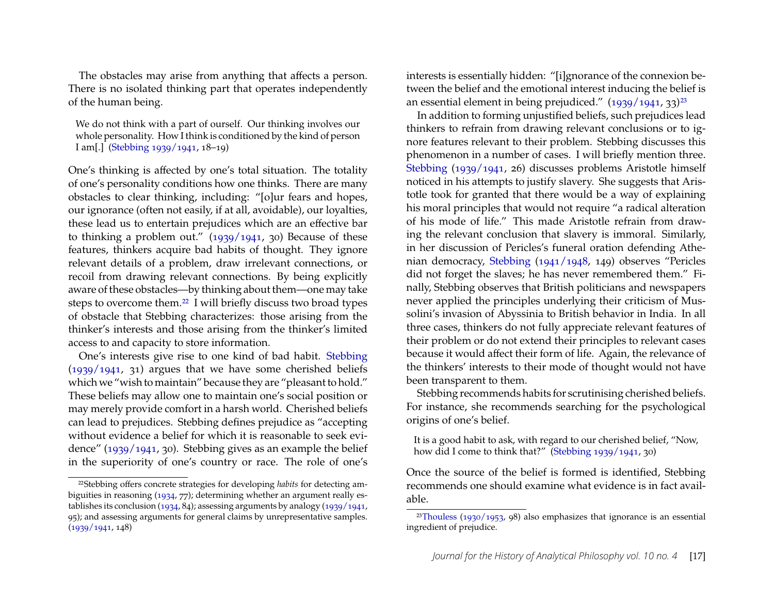The obstacles may arise from anything that affects a person. There is no isolated thinking part that operates independently of the human being.

We do not think with a part of ourself. Our thinking involves our whole personality. How I think is conditioned by the kind of person I am[.] [\(Stebbing](#page-24-3) [1939/1941,](#page-24-3) 18–19)

One's thinking is affected by one's total situation. The totality of one's personality conditions how one thinks. There are many obstacles to clear thinking, including: "[o]ur fears and hopes, our ignorance (often not easily, if at all, avoidable), our loyalties, these lead us to entertain prejudices which are an effective bar to thinking a problem out." [\(1939/1941,](#page-24-3) 30) Because of these features, thinkers acquire bad habits of thought. They ignore relevant details of a problem, draw irrelevant connections, or recoil from drawing relevant connections. By being explicitly aware of these obstacles—by thinking about them—one may take steps to overcome them.[22](#page-17-0) I will briefly discuss two broad types of obstacle that Stebbing characterizes: those arising from the thinker's interests and those arising from the thinker's limited access to and capacity to store information.

One's interests give rise to one kind of bad habit. [Stebbing](#page-24-3) [\(1939/1941,](#page-24-3) 31) argues that we have some cherished beliefs which we "wish to maintain" because they are "pleasant to hold." These beliefs may allow one to maintain one's social position or may merely provide comfort in a harsh world. Cherished beliefs can lead to prejudices. Stebbing defines prejudice as "accepting without evidence a belief for which it is reasonable to seek evidence" [\(1939/1941,](#page-24-3) 30). Stebbing gives as an example the belief in the superiority of one's country or race. The role of one's interests is essentially hidden: "[i]gnorance of the connexion between the belief and the emotional interest inducing the belief is an essential element in being prejudiced."  $(1939/1941, 33)^{23}$  $(1939/1941, 33)^{23}$  $(1939/1941, 33)^{23}$  $(1939/1941, 33)^{23}$ 

In addition to forming unjustified beliefs, such prejudices lead thinkers to refrain from drawing relevant conclusions or to ignore features relevant to their problem. Stebbing discusses this phenomenon in a number of cases. I will briefly mention three. [Stebbing](#page-24-3) [\(1939/1941,](#page-24-3) 26) discusses problems Aristotle himself noticed in his attempts to justify slavery. She suggests that Aristotle took for granted that there would be a way of explaining his moral principles that would not require "a radical alteration of his mode of life." This made Aristotle refrain from drawing the relevant conclusion that slavery is immoral. Similarly, in her discussion of Pericles's funeral oration defending Athenian democracy, [Stebbing](#page-24-0) [\(1941/1948,](#page-24-0) 149) observes "Pericles did not forget the slaves; he has never remembered them." Finally, Stebbing observes that British politicians and newspapers never applied the principles underlying their criticism of Mussolini's invasion of Abyssinia to British behavior in India. In all three cases, thinkers do not fully appreciate relevant features of their problem or do not extend their principles to relevant cases because it would affect their form of life. Again, the relevance of the thinkers' interests to their mode of thought would not have been transparent to them.

Stebbing recommends habits for scrutinising cherished beliefs. For instance, she recommends searching for the psychological origins of one's belief.

It is a good habit to ask, with regard to our cherished belief, "Now, how did I come to think that?" [\(Stebbing](#page-24-3) [1939/1941,](#page-24-3) 30)

Once the source of the belief is formed is identified, Stebbing recommends one should examine what evidence is in fact available.

<span id="page-17-0"></span><sup>22</sup>Stebbing offers concrete strategies for developing *habits* for detecting ambiguities in reasoning [\(1934,](#page-24-2) 77); determining whether an argument really establishes its conclusion [\(1934,](#page-24-2) 84); assessing arguments by analogy [\(1939/1941,](#page-24-3) 95); and assessing arguments for general claims by unrepresentative samples.  $(1939/1941, 148)$  $(1939/1941, 148)$ 

<span id="page-17-1"></span><sup>&</sup>lt;sup>23</sup>[Thouless](#page-24-11) [\(1930/1953,](#page-24-11) 98) also emphasizes that ignorance is an essential ingredient of prejudice.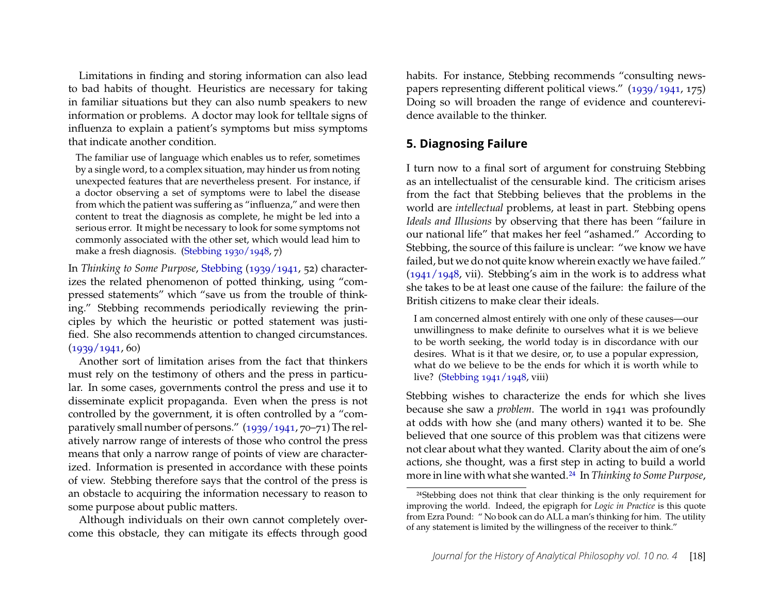Limitations in finding and storing information can also lead to bad habits of thought. Heuristics are necessary for taking in familiar situations but they can also numb speakers to new information or problems. A doctor may look for telltale signs of influenza to explain a patient's symptoms but miss symptoms that indicate another condition.

The familiar use of language which enables us to refer, sometimes by a single word, to a complex situation, may hinder us from noting unexpected features that are nevertheless present. For instance, if a doctor observing a set of symptoms were to label the disease from which the patient was suffering as "influenza," and were then content to treat the diagnosis as complete, he might be led into a serious error. It might be necessary to look for some symptoms not commonly associated with the other set, which would lead him to make a fresh diagnosis. [\(Stebbing](#page-24-1) [1930/1948,](#page-24-1) 7)

In *Thinking to Some Purpose*, [Stebbing](#page-24-3) [\(1939/1941,](#page-24-3) 52) characterizes the related phenomenon of potted thinking, using "compressed statements" which "save us from the trouble of thinking." Stebbing recommends periodically reviewing the principles by which the heuristic or potted statement was justified. She also recommends attention to changed circumstances.  $(1939/1941, 60)$  $(1939/1941, 60)$ 

Another sort of limitation arises from the fact that thinkers must rely on the testimony of others and the press in particular. In some cases, governments control the press and use it to disseminate explicit propaganda. Even when the press is not controlled by the government, it is often controlled by a "comparatively small number of persons." [\(1939/1941,](#page-24-3) 70–71) The relatively narrow range of interests of those who control the press means that only a narrow range of points of view are characterized. Information is presented in accordance with these points of view. Stebbing therefore says that the control of the press is an obstacle to acquiring the information necessary to reason to some purpose about public matters.

Although individuals on their own cannot completely overcome this obstacle, they can mitigate its effects through good habits. For instance, Stebbing recommends "consulting newspapers representing different political views." [\(1939/1941,](#page-24-3) 175) Doing so will broaden the range of evidence and counterevidence available to the thinker.

## **5. Diagnosing Failure**

I turn now to a final sort of argument for construing Stebbing as an intellectualist of the censurable kind. The criticism arises from the fact that Stebbing believes that the problems in the world are *intellectual* problems, at least in part. Stebbing opens *Ideals and Illusions* by observing that there has been "failure in our national life" that makes her feel "ashamed." According to Stebbing, the source of this failure is unclear: "we know we have failed, but we do not quite know wherein exactly we have failed."  $(1941/1948, \text{vii})$  $(1941/1948, \text{vii})$ . Stebbing's aim in the work is to address what she takes to be at least one cause of the failure: the failure of the British citizens to make clear their ideals.

I am concerned almost entirely with one only of these causes—our unwillingness to make definite to ourselves what it is we believe to be worth seeking, the world today is in discordance with our desires. What is it that we desire, or, to use a popular expression, what do we believe to be the ends for which it is worth while to live? [\(Stebbing](#page-24-0) [1941/1948,](#page-24-0) viii)

Stebbing wishes to characterize the ends for which she lives because she saw a *problem*. The world in 1941 was profoundly at odds with how she (and many others) wanted it to be. She believed that one source of this problem was that citizens were not clear about what they wanted. Clarity about the aim of one's actions, she thought, was a first step in acting to build a world more in line with what she wanted.[24](#page-18-0) In *Thinking to Some Purpose*,

<span id="page-18-0"></span><sup>24</sup>Stebbing does not think that clear thinking is the only requirement for improving the world. Indeed, the epigraph for *Logic in Practice* is this quote from Ezra Pound: " No book can do ALL a man's thinking for him. The utility of any statement is limited by the willingness of the receiver to think."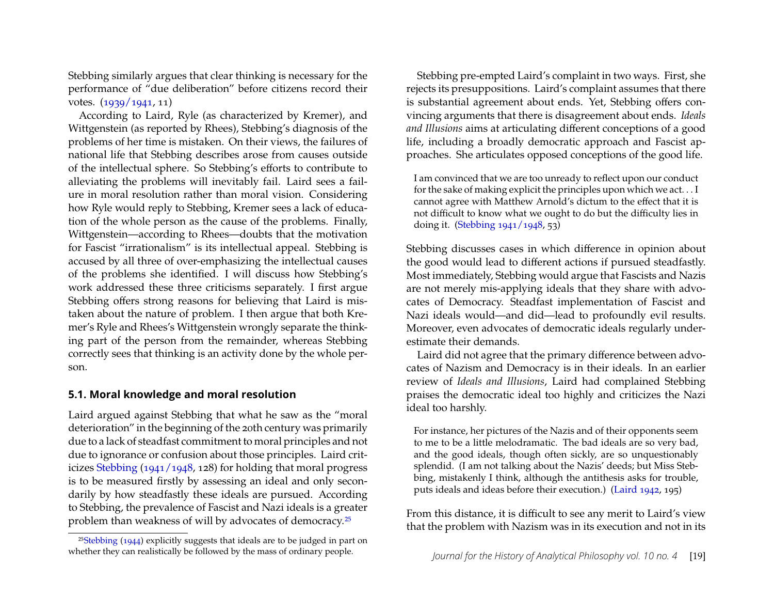Stebbing similarly argues that clear thinking is necessary for the performance of "due deliberation" before citizens record their votes. [\(1939/1941,](#page-24-3) 11)

According to Laird, Ryle (as characterized by Kremer), and Wittgenstein (as reported by Rhees), Stebbing's diagnosis of the problems of her time is mistaken. On their views, the failures of national life that Stebbing describes arose from causes outside of the intellectual sphere. So Stebbing's efforts to contribute to alleviating the problems will inevitably fail. Laird sees a failure in moral resolution rather than moral vision. Considering how Ryle would reply to Stebbing, Kremer sees a lack of education of the whole person as the cause of the problems. Finally, Wittgenstein—according to Rhees—doubts that the motivation for Fascist "irrationalism" is its intellectual appeal. Stebbing is accused by all three of over-emphasizing the intellectual causes of the problems she identified. I will discuss how Stebbing's work addressed these three criticisms separately. I first argue Stebbing offers strong reasons for believing that Laird is mistaken about the nature of problem. I then argue that both Kremer's Ryle and Rhees's Wittgenstein wrongly separate the thinking part of the person from the remainder, whereas Stebbing correctly sees that thinking is an activity done by the whole person.

#### **5.1. Moral knowledge and moral resolution**

Laird argued against Stebbing that what he saw as the "moral deterioration" in the beginning of the 20th century was primarily due to a lack of steadfast commitment to moral principles and not due to ignorance or confusion about those principles. Laird criticizes [Stebbing](#page-24-0) [\(1941/1948,](#page-24-0) 128) for holding that moral progress is to be measured firstly by assessing an ideal and only secondarily by how steadfastly these ideals are pursued. According to Stebbing, the prevalence of Fascist and Nazi ideals is a greater problem than weakness of will by advocates of democracy.[25](#page-19-0)

Stebbing pre-empted Laird's complaint in two ways. First, she rejects its presuppositions. Laird's complaint assumes that there is substantial agreement about ends. Yet, Stebbing offers convincing arguments that there is disagreement about ends. *Ideals and Illusions* aims at articulating different conceptions of a good life, including a broadly democratic approach and Fascist approaches. She articulates opposed conceptions of the good life.

I am convinced that we are too unready to reflect upon our conduct for the sake of making explicit the principles upon which we act. . . I cannot agree with Matthew Arnold's dictum to the effect that it is not difficult to know what we ought to do but the difficulty lies in doing it. [\(Stebbing](#page-24-0) [1941/1948,](#page-24-0) 53)

Stebbing discusses cases in which difference in opinion about the good would lead to different actions if pursued steadfastly. Most immediately, Stebbing would argue that Fascists and Nazis are not merely mis-applying ideals that they share with advocates of Democracy. Steadfast implementation of Fascist and Nazi ideals would—and did—lead to profoundly evil results. Moreover, even advocates of democratic ideals regularly underestimate their demands.

Laird did not agree that the primary difference between advocates of Nazism and Democracy is in their ideals. In an earlier review of *Ideals and Illusions*, Laird had complained Stebbing praises the democratic ideal too highly and criticizes the Nazi ideal too harshly.

For instance, her pictures of the Nazis and of their opponents seem to me to be a little melodramatic. The bad ideals are so very bad, and the good ideals, though often sickly, are so unquestionably splendid. (I am not talking about the Nazis' deeds; but Miss Stebbing, mistakenly I think, although the antithesis asks for trouble, puts ideals and ideas before their execution.) [\(Laird](#page-23-18) [1942,](#page-23-18) 195)

From this distance, it is difficult to see any merit to Laird's view that the problem with Nazism was in its execution and not in its

<span id="page-19-0"></span><sup>25</sup>[Stebbing](#page-24-13) [\(1944\)](#page-24-13) explicitly suggests that ideals are to be judged in part on whether they can realistically be followed by the mass of ordinary people.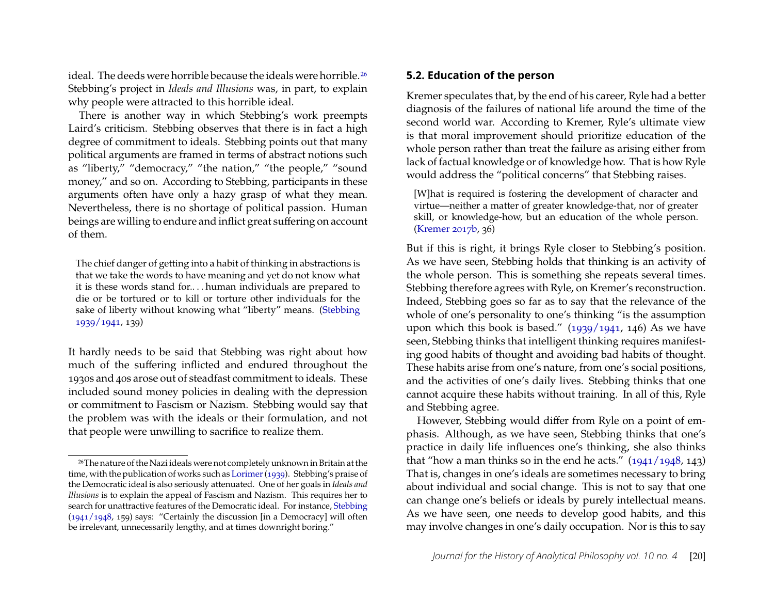ideal. The deeds were horrible because the ideals were horrible.<sup>[26](#page-20-0)</sup> Stebbing's project in *Ideals and Illusions* was, in part, to explain why people were attracted to this horrible ideal.

There is another way in which Stebbing's work preempts Laird's criticism. Stebbing observes that there is in fact a high degree of commitment to ideals. Stebbing points out that many political arguments are framed in terms of abstract notions such as "liberty," "democracy," "the nation," "the people," "sound money," and so on. According to Stebbing, participants in these arguments often have only a hazy grasp of what they mean. Nevertheless, there is no shortage of political passion. Human beings are willing to endure and inflict great suffering on account of them.

The chief danger of getting into a habit of thinking in abstractions is that we take the words to have meaning and yet do not know what it is these words stand for.. . . human individuals are prepared to die or be tortured or to kill or torture other individuals for the sake of liberty without knowing what "liberty" means. [\(Stebbing](#page-24-3) [1939/1941,](#page-24-3) 139)

It hardly needs to be said that Stebbing was right about how much of the suffering inflicted and endured throughout the 1930s and 40s arose out of steadfast commitment to ideals. These included sound money policies in dealing with the depression or commitment to Fascism or Nazism. Stebbing would say that the problem was with the ideals or their formulation, and not that people were unwilling to sacrifice to realize them.

#### **5.2. Education of the person**

Kremer speculates that, by the end of his career, Ryle had a better diagnosis of the failures of national life around the time of the second world war. According to Kremer, Ryle's ultimate view is that moral improvement should prioritize education of the whole person rather than treat the failure as arising either from lack of factual knowledge or of knowledge how. That is how Ryle would address the "political concerns" that Stebbing raises.

[W]hat is required is fostering the development of character and virtue—neither a matter of greater knowledge-that, nor of greater skill, or knowledge-how, but an education of the whole person. [\(Kremer](#page-23-1) [2017b,](#page-23-1) 36)

But if this is right, it brings Ryle closer to Stebbing's position. As we have seen, Stebbing holds that thinking is an activity of the whole person. This is something she repeats several times. Stebbing therefore agrees with Ryle, on Kremer's reconstruction. Indeed, Stebbing goes so far as to say that the relevance of the whole of one's personality to one's thinking "is the assumption upon which this book is based."  $(1939/1941, 146)$  $(1939/1941, 146)$  As we have seen, Stebbing thinks that intelligent thinking requires manifesting good habits of thought and avoiding bad habits of thought. These habits arise from one's nature, from one's social positions, and the activities of one's daily lives. Stebbing thinks that one cannot acquire these habits without training. In all of this, Ryle and Stebbing agree.

However, Stebbing would differ from Ryle on a point of emphasis. Although, as we have seen, Stebbing thinks that one's practice in daily life influences one's thinking, she also thinks that "how a man thinks so in the end he acts."  $(1941/1948, 143)$  $(1941/1948, 143)$ That is, changes in one's ideals are sometimes necessary to bring about individual and social change. This is not to say that one can change one's beliefs or ideals by purely intellectual means. As we have seen, one needs to develop good habits, and this may involve changes in one's daily occupation. Nor is this to say

<span id="page-20-0"></span><sup>26</sup>The nature of the Nazi ideals were not completely unknown in Britain at the time, with the publication of works such as [Lorimer\(1939\)](#page-23-19). Stebbing's praise of the Democratic ideal is also seriously attenuated. One of her goals in *Ideals and Illusions* is to explain the appeal of Fascism and Nazism. This requires her to search for unattractive features of the Democratic ideal. For instance, [Stebbing](#page-24-0) [\(1941/1948,](#page-24-0) 159) says: "Certainly the discussion [in a Democracy] will often be irrelevant, unnecessarily lengthy, and at times downright boring."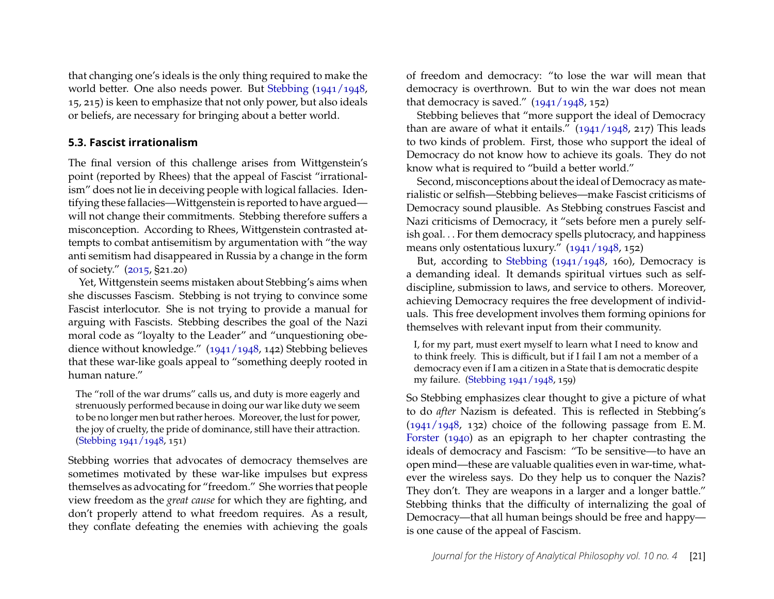that changing one's ideals is the only thing required to make the world better. One also needs power. But [Stebbing](#page-24-0) [\(1941/1948,](#page-24-0) 15, 215) is keen to emphasize that not only power, but also ideals or beliefs, are necessary for bringing about a better world.

#### **5.3. Fascist irrationalism**

The final version of this challenge arises from Wittgenstein's point (reported by Rhees) that the appeal of Fascist "irrationalism" does not lie in deceiving people with logical fallacies. Identifying these fallacies—Wittgenstein is reported to have argued will not change their commitments. Stebbing therefore suffers a misconception. According to Rhees, Wittgenstein contrasted attempts to combat antisemitism by argumentation with "the way anti semitism had disappeared in Russia by a change in the form of society." [\(2015,](#page-24-4) §21.20)

Yet, Wittgenstein seems mistaken about Stebbing's aims when she discusses Fascism. Stebbing is not trying to convince some Fascist interlocutor. She is not trying to provide a manual for arguing with Fascists. Stebbing describes the goal of the Nazi moral code as "loyalty to the Leader" and "unquestioning obedience without knowledge." [\(1941/1948,](#page-24-0) 142) Stebbing believes that these war-like goals appeal to "something deeply rooted in human nature."

The "roll of the war drums" calls us, and duty is more eagerly and strenuously performed because in doing our war like duty we seem to be no longer men but rather heroes. Moreover, the lust for power, the joy of cruelty, the pride of dominance, still have their attraction. [\(Stebbing](#page-24-0) [1941/1948,](#page-24-0) 151)

Stebbing worries that advocates of democracy themselves are sometimes motivated by these war-like impulses but express themselves as advocating for "freedom." She worries that people view freedom as the *great cause* for which they are fighting, and don't properly attend to what freedom requires. As a result, they conflate defeating the enemies with achieving the goals of freedom and democracy: "to lose the war will mean that democracy is overthrown. But to win the war does not mean that democracy is saved."  $(1941/1948, 152)$  $(1941/1948, 152)$ 

Stebbing believes that "more support the ideal of Democracy than are aware of what it entails."  $(1941/1948, 217)$  $(1941/1948, 217)$  This leads to two kinds of problem. First, those who support the ideal of Democracy do not know how to achieve its goals. They do not know what is required to "build a better world."

Second, misconceptions about the ideal of Democracy as materialistic or selfish—Stebbing believes—make Fascist criticisms of Democracy sound plausible. As Stebbing construes Fascist and Nazi criticisms of Democracy, it "sets before men a purely selfish goal. . . For them democracy spells plutocracy, and happiness means only ostentatious luxury." [\(1941/1948,](#page-24-0) 152)

But, according to [Stebbing](#page-24-0) [\(1941/1948,](#page-24-0) 160), Democracy is a demanding ideal. It demands spiritual virtues such as selfdiscipline, submission to laws, and service to others. Moreover, achieving Democracy requires the free development of individuals. This free development involves them forming opinions for themselves with relevant input from their community.

I, for my part, must exert myself to learn what I need to know and to think freely. This is difficult, but if I fail I am not a member of a democracy even if I am a citizen in a State that is democratic despite my failure. [\(Stebbing](#page-24-0) [1941/1948,](#page-24-0) 159)

So Stebbing emphasizes clear thought to give a picture of what to do *after* Nazism is defeated. This is reflected in Stebbing's  $(1941/1948, 132)$  $(1941/1948, 132)$  choice of the following passage from E.M. [Forster](#page-23-20) [\(1940\)](#page-23-20) as an epigraph to her chapter contrasting the ideals of democracy and Fascism: "To be sensitive—to have an open mind—these are valuable qualities even in war-time, whatever the wireless says. Do they help us to conquer the Nazis? They don't. They are weapons in a larger and a longer battle." Stebbing thinks that the difficulty of internalizing the goal of Democracy—that all human beings should be free and happy is one cause of the appeal of Fascism.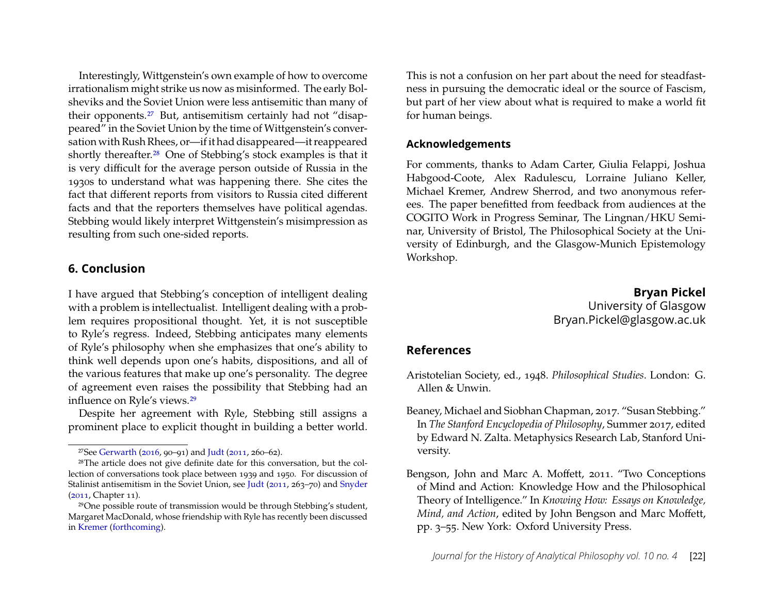Interestingly, Wittgenstein's own example of how to overcome irrationalism might strike us now as misinformed. The early Bolsheviks and the Soviet Union were less antisemitic than many of their opponents.[27](#page-22-2) But, antisemitism certainly had not "disappeared" in the Soviet Union by the time of Wittgenstein's conversation with Rush Rhees, or—if it had disappeared—it reappeared shortly thereafter.[28](#page-22-3) One of Stebbing's stock examples is that it is very difficult for the average person outside of Russia in the 1930s to understand what was happening there. She cites the fact that different reports from visitors to Russia cited different facts and that the reporters themselves have political agendas. Stebbing would likely interpret Wittgenstein's misimpression as resulting from such one-sided reports.

#### **6. Conclusion**

I have argued that Stebbing's conception of intelligent dealing with a problem is intellectualist. Intelligent dealing with a problem requires propositional thought. Yet, it is not susceptible to Ryle's regress. Indeed, Stebbing anticipates many elements of Ryle's philosophy when she emphasizes that one's ability to think well depends upon one's habits, dispositions, and all of the various features that make up one's personality. The degree of agreement even raises the possibility that Stebbing had an influence on Ryle's views.[29](#page-22-4)

Despite her agreement with Ryle, Stebbing still assigns a prominent place to explicit thought in building a better world. This is not a confusion on her part about the need for steadfastness in pursuing the democratic ideal or the source of Fascism, but part of her view about what is required to make a world fit for human beings.

#### **Acknowledgements**

For comments, thanks to Adam Carter, Giulia Felappi, Joshua Habgood-Coote, Alex Radulescu, Lorraine Juliano Keller, Michael Kremer, Andrew Sherrod, and two anonymous referees. The paper benefitted from feedback from audiences at the COGITO Work in Progress Seminar, The Lingnan/HKU Seminar, University of Bristol, The Philosophical Society at the University of Edinburgh, and the Glasgow-Munich Epistemology Workshop.

> **Bryan Pickel** University of Glasgow Bryan.Pickel@glasgow.ac.uk

## **References**

- <span id="page-22-5"></span>Aristotelian Society, ed., 1948. *Philosophical Studies*. London: G. Allen & Unwin.
- <span id="page-22-1"></span>Beaney, Michael and Siobhan Chapman, 2017. "Susan Stebbing." In *The Stanford Encyclopedia of Philosophy*, Summer 2017, edited by Edward N. Zalta. Metaphysics Research Lab, Stanford University.

<span id="page-22-3"></span><span id="page-22-2"></span><sup>&</sup>lt;sup>27</sup>See [Gerwarth](#page-23-21) [\(2016,](#page-23-21) 90–91) and [Judt](#page-23-22) [\(2011,](#page-23-22) 260–62).

<sup>28</sup>The article does not give definite date for this conversation, but the collection of conversations took place between 1939 and 1950. For discussion of Stalinist antisemitism in the Soviet Union, see [Judt](#page-23-22) [\(2011,](#page-23-22) 263–70) and [Snyder](#page-23-23) [\(2011,](#page-23-23) Chapter 11).

<span id="page-22-4"></span><sup>29</sup>One possible route of transmission would be through Stebbing's student, Margaret MacDonald, whose friendship with Ryle has recently been discussed in [Kremer](#page-23-24) [\(forthcoming\)](#page-23-24).

<span id="page-22-0"></span>Bengson, John and Marc A. Moffett, 2011. "Two Conceptions of Mind and Action: Knowledge How and the Philosophical Theory of Intelligence." In *Knowing How: Essays on Knowledge, Mind, and Action*, edited by John Bengson and Marc Moffett, pp. 3–55. New York: Oxford University Press.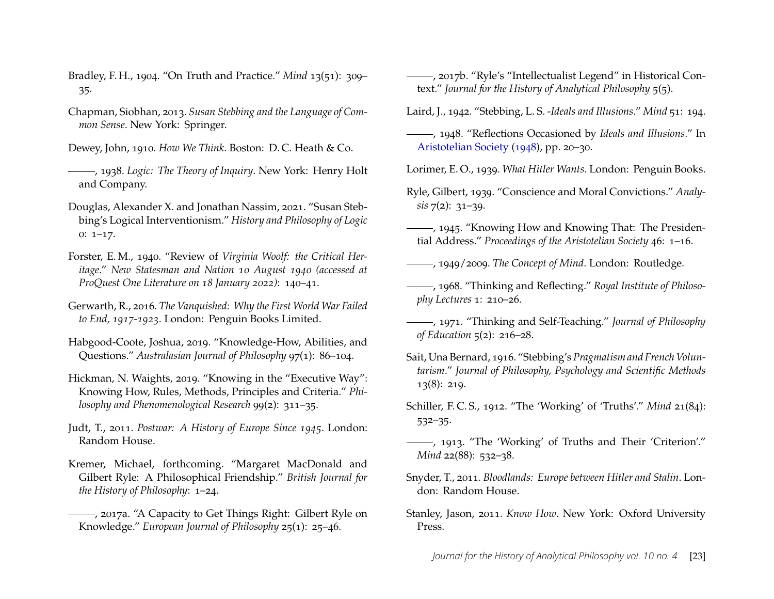- <span id="page-23-5"></span>Bradley, F. H., 1904. "On Truth and Practice." *Mind* 13(51): 309– 35.
- <span id="page-23-13"></span>Chapman, Siobhan, 2013. *Susan Stebbing and the Language of Common Sense*. New York: Springer.
- <span id="page-23-7"></span>Dewey, John, 1910. *How We Think*. Boston: D. C. Heath & Co.
- <span id="page-23-8"></span>, 1938. *Logic: The Theory of Inquiry*. New York: Henry Holt and Company.
- <span id="page-23-12"></span>Douglas, Alexander X. and Jonathan Nassim, 2021. "Susan Stebbing's Logical Interventionism." *History and Philosophy of Logic* 0: 1–17.
- <span id="page-23-20"></span>Forster, E. M., 1940. "Review of *Virginia Woolf: the Critical Heritage*." *New Statesman and Nation 10 August 1940 (accessed at ProQuest One Literature on 18 January 2022)*: 140–41.
- <span id="page-23-21"></span>Gerwarth, R., 2016. *The Vanquished: Why the First World War Failed to End, 1917-1923*. London: Penguin Books Limited.
- <span id="page-23-16"></span>Habgood-Coote, Joshua, 2019. "Knowledge-How, Abilities, and Questions." *Australasian Journal of Philosophy* 97(1): 86–104.
- <span id="page-23-17"></span>Hickman, N. Waights, 2019. "Knowing in the "Executive Way": Knowing How, Rules, Methods, Principles and Criteria." *Philosophy and Phenomenological Research* 99(2): 311–35.
- <span id="page-23-22"></span>Judt, T., 2011. *Postwar: A History of Europe Since 1945*. London: Random House.
- <span id="page-23-24"></span>Kremer, Michael, forthcoming. "Margaret MacDonald and Gilbert Ryle: A Philosophical Friendship." *British Journal for the History of Philosophy*: 1–24.
- <span id="page-23-15"></span>(2017a. "A Capacity to Get Things Right: Gilbert Ryle on Knowledge." *European Journal of Philosophy* 25(1): 25–46.
- <span id="page-23-1"></span>, 2017b. "Ryle's "Intellectualist Legend" in Historical Context." *Journal for the History of Analytical Philosophy* 5(5).
- <span id="page-23-18"></span>Laird, J., 1942. "Stebbing, L. S. -*Ideals and Illusions*." *Mind* 51: 194.
- <span id="page-23-0"></span>, 1948. "Reflections Occasioned by *Ideals and Illusions*." In [Aristotelian Society](#page-22-5) [\(1948\)](#page-22-5), pp. 20–30.
- <span id="page-23-19"></span>Lorimer, E. O., 1939. *What Hitler Wants*. London: Penguin Books.
- <span id="page-23-11"></span>Ryle, Gilbert, 1939. "Conscience and Moral Convictions." *Analysis* 7(2): 31–39.
- <span id="page-23-10"></span>, 1945. "Knowing How and Knowing That: The Presidential Address." *Proceedings of the Aristotelian Society* 46: 1–16.
- <span id="page-23-2"></span>, 1949/2009. *The Concept of Mind*. London: Routledge.
- , 1968. "Thinking and Reflecting." *Royal Institute of Philosophy Lectures* 1: 210–26.
- <span id="page-23-14"></span>, 1971. "Thinking and Self-Teaching." *Journal of Philosophy of Education* 5(2): 216–28.
- <span id="page-23-6"></span>Sait, Una Bernard, 1916. "Stebbing's *Pragmatism and French Voluntarism*." *Journal of Philosophy, Psychology and Scientific Methods* 13(8): 219.
- <span id="page-23-3"></span>Schiller, F. C. S., 1912. "The 'Working' of 'Truths'." *Mind* 21(84): 532–35.
- <span id="page-23-4"></span>, 1913. "The 'Working' of Truths and Their 'Criterion'." *Mind* 22(88): 532–38.
- <span id="page-23-23"></span>Snyder, T., 2011. *Bloodlands: Europe between Hitler and Stalin*. London: Random House.
- <span id="page-23-9"></span>Stanley, Jason, 2011. *Know How*. New York: Oxford University Press.